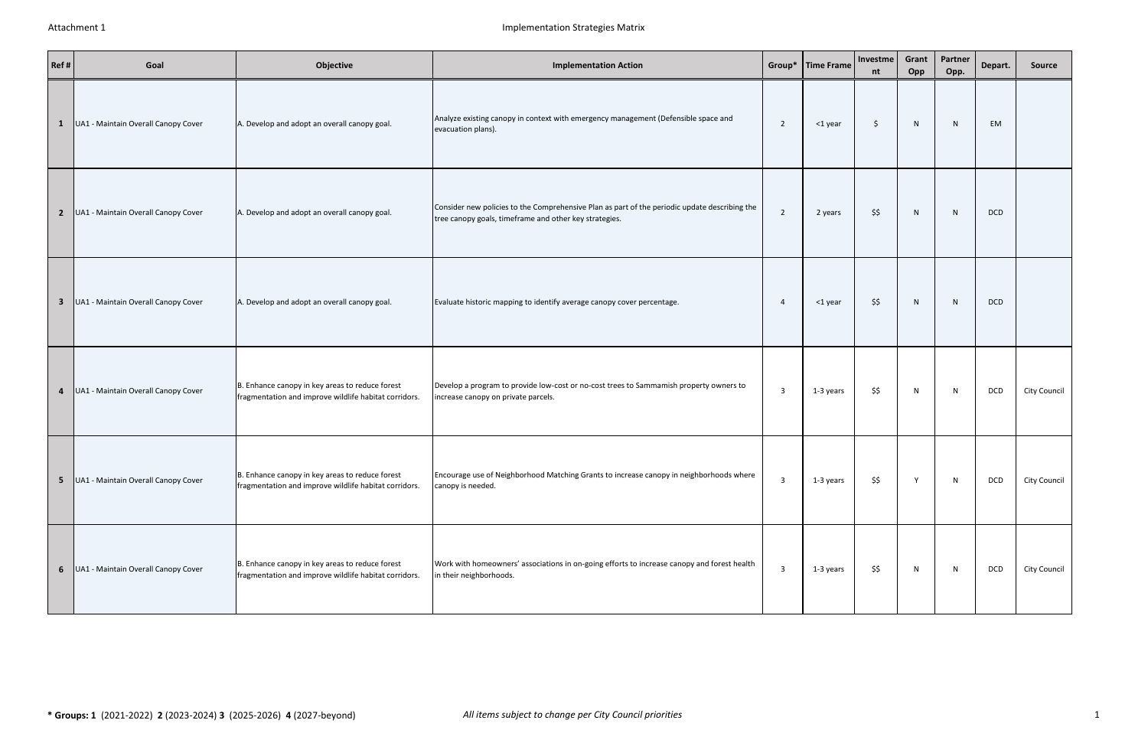| Ref# | Goal                                    | Objective                                                                                                | <b>Implementation Action</b>                                                                                                                            |                         | Group*   Time Frame | Investme<br>nt | Grant<br>Opp | Partner<br>Opp. | Depart.    | Source              |
|------|-----------------------------------------|----------------------------------------------------------------------------------------------------------|---------------------------------------------------------------------------------------------------------------------------------------------------------|-------------------------|---------------------|----------------|--------------|-----------------|------------|---------------------|
|      | 1   UA1 - Maintain Overall Canopy Cover | A. Develop and adopt an overall canopy goal.                                                             | Analyze existing canopy in context with emergency management (Defensible space and<br>evacuation plans).                                                | $\overline{2}$          | <1 year             | \$             | N            | N               | EM         |                     |
|      | 2   UA1 - Maintain Overall Canopy Cover | A. Develop and adopt an overall canopy goal.                                                             | Consider new policies to the Comprehensive Plan as part of the periodic update describing the<br>tree canopy goals, timeframe and other key strategies. | $\overline{2}$          | 2 years             | \$\$           | N            | N               | <b>DCD</b> |                     |
|      | 3 UA1 - Maintain Overall Canopy Cover   | A. Develop and adopt an overall canopy goal.                                                             | Evaluate historic mapping to identify average canopy cover percentage.                                                                                  | 4                       | <1 year             | \$\$           | N            | N               | <b>DCD</b> |                     |
|      | 4   UA1 - Maintain Overall Canopy Cover | B. Enhance canopy in key areas to reduce forest<br>fragmentation and improve wildlife habitat corridors. | Develop a program to provide low-cost or no-cost trees to Sammamish property owners to<br>increase canopy on private parcels.                           | $\overline{\mathbf{3}}$ | 1-3 years           | \$\$           | N            | N               | DCD        | City Council        |
| 5    | UA1 - Maintain Overall Canopy Cover     | B. Enhance canopy in key areas to reduce forest<br>fragmentation and improve wildlife habitat corridors. | Encourage use of Neighborhood Matching Grants to increase canopy in neighborhoods where<br>canopy is needed.                                            | $\overline{\mathbf{3}}$ | 1-3 years           | \$\$           |              | N               | DCD        | City Council        |
|      | 6   UA1 - Maintain Overall Canopy Cover | B. Enhance canopy in key areas to reduce forest<br>fragmentation and improve wildlife habitat corridors. | Work with homeowners' associations in on-going efforts to increase canopy and forest health<br>in their neighborhoods.                                  | $\overline{3}$          | 1-3 years           | \$\$           | N            | N               | DCD        | <b>City Council</b> |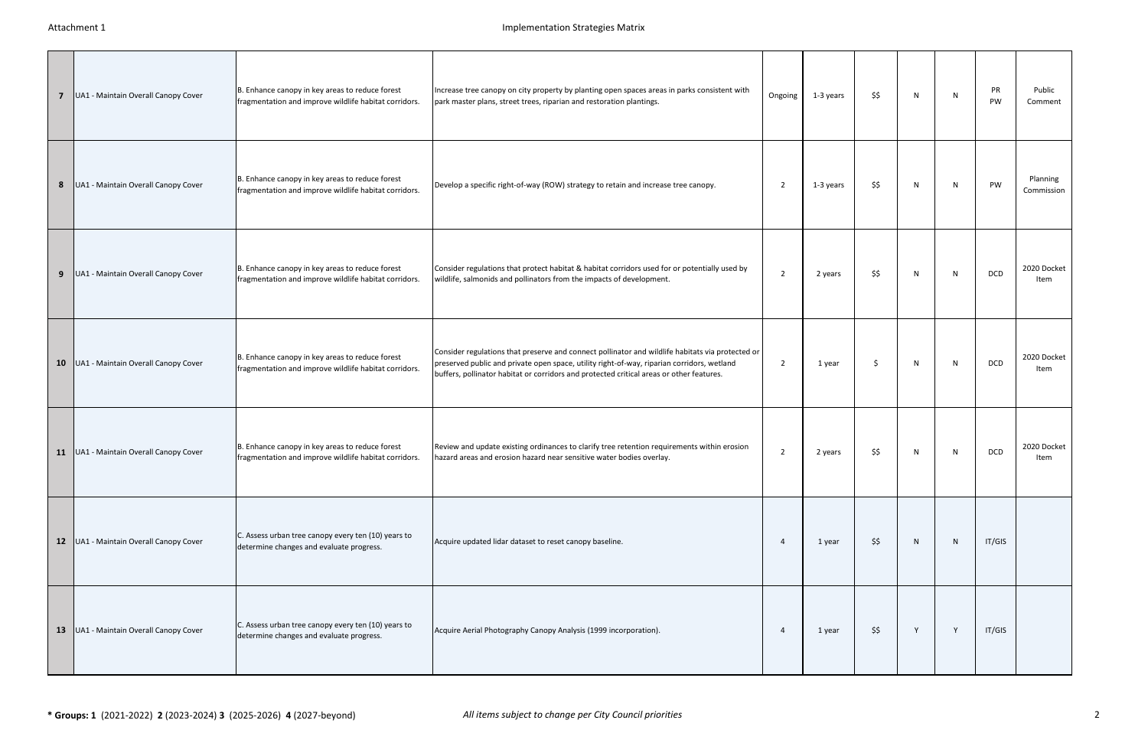| $\overline{7}$ | UA1 - Maintain Overall Canopy Cover      | B. Enhance canopy in key areas to reduce forest<br>fragmentation and improve wildlife habitat corridors. | Increase tree canopy on city property by planting open spaces areas in parks consistent with<br>park master plans, street trees, riparian and restoration plantings.                                                                                                                       | Ongoing        | 1-3 years | \$\$ | N | N | PR<br>PW   | Public<br>Comment      |
|----------------|------------------------------------------|----------------------------------------------------------------------------------------------------------|--------------------------------------------------------------------------------------------------------------------------------------------------------------------------------------------------------------------------------------------------------------------------------------------|----------------|-----------|------|---|---|------------|------------------------|
| 8              | UA1 - Maintain Overall Canopy Cover      | B. Enhance canopy in key areas to reduce forest<br>fragmentation and improve wildlife habitat corridors. | Develop a specific right-of-way (ROW) strategy to retain and increase tree canopy.                                                                                                                                                                                                         | $\overline{2}$ | 1-3 years | \$\$ | N | N | PW         | Planning<br>Commission |
| 9              | UA1 - Maintain Overall Canopy Cover      | B. Enhance canopy in key areas to reduce forest<br>fragmentation and improve wildlife habitat corridors. | Consider regulations that protect habitat & habitat corridors used for or potentially used by<br>wildlife, salmonids and pollinators from the impacts of development.                                                                                                                      | 2              | 2 years   | \$\$ | N | N | <b>DCD</b> | 2020 Docket<br>Item    |
| 10             | UA1 - Maintain Overall Canopy Cover      | B. Enhance canopy in key areas to reduce forest<br>fragmentation and improve wildlife habitat corridors. | Consider regulations that preserve and connect pollinator and wildlife habitats via protected or<br>preserved public and private open space, utility right-of-way, riparian corridors, wetland<br>buffers, pollinator habitat or corridors and protected critical areas or other features. | 2              | 1 year    | Ŝ.   | N | N | DCD        | 2020 Docket<br>Item    |
|                | 11   UA1 - Maintain Overall Canopy Cover | B. Enhance canopy in key areas to reduce forest<br>fragmentation and improve wildlife habitat corridors. | Review and update existing ordinances to clarify tree retention requirements within erosion<br>hazard areas and erosion hazard near sensitive water bodies overlay.                                                                                                                        | $\overline{2}$ | 2 years   | \$\$ | N | N | <b>DCD</b> | 2020 Docket<br>Item    |
|                | 12   UA1 - Maintain Overall Canopy Cover | C. Assess urban tree canopy every ten (10) years to<br>determine changes and evaluate progress.          | Acquire updated lidar dataset to reset canopy baseline.                                                                                                                                                                                                                                    | 4              | 1 year    | \$\$ | N | N | IT/GIS     |                        |
| 13             | UA1 - Maintain Overall Canopy Cover      | C. Assess urban tree canopy every ten (10) years to<br>determine changes and evaluate progress.          | Acquire Aerial Photography Canopy Analysis (1999 incorporation).                                                                                                                                                                                                                           | 4              | 1 year    | \$\$ | Y | Y | IT/GIS     |                        |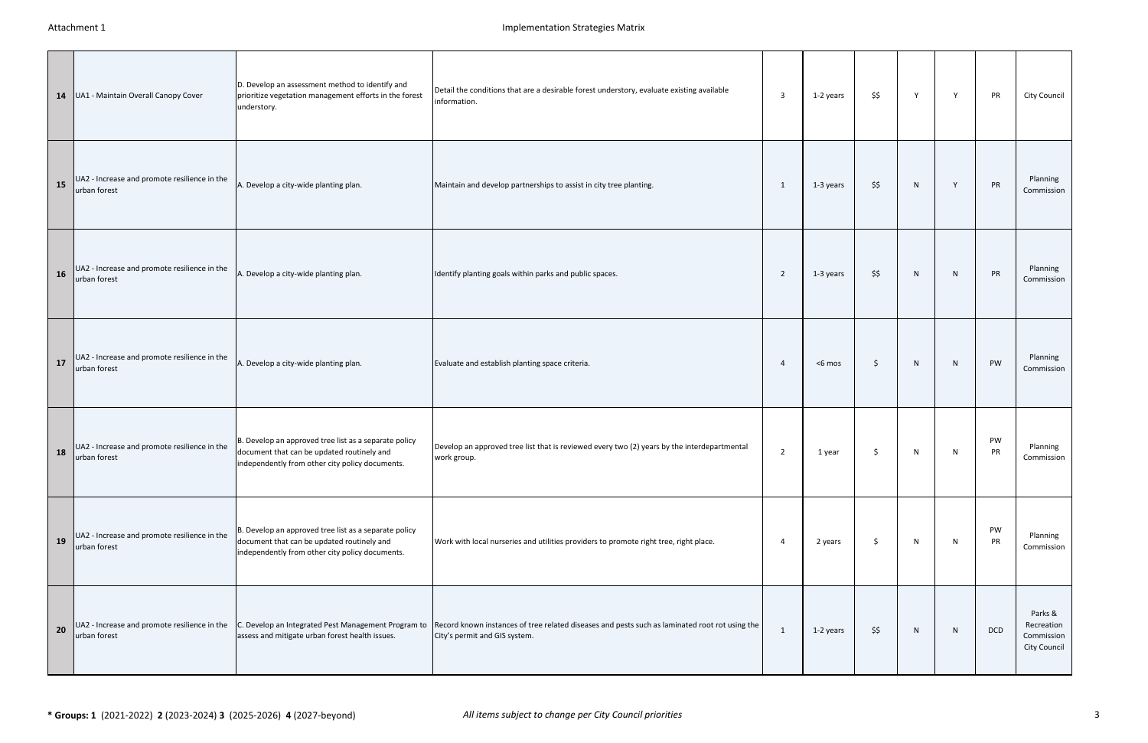| 14 | UA1 - Maintain Overall Canopy Cover                          | D. Develop an assessment method to identify and<br>prioritize vegetation management efforts in the forest<br>understory.                               | Detail the conditions that are a desirable forest understory, evaluate existing available<br>information.                                                                           | 3              | 1-2 years | \$\$ | Y            | Y | PR       | City Council                                               |
|----|--------------------------------------------------------------|--------------------------------------------------------------------------------------------------------------------------------------------------------|-------------------------------------------------------------------------------------------------------------------------------------------------------------------------------------|----------------|-----------|------|--------------|---|----------|------------------------------------------------------------|
| 15 | UA2 - Increase and promote resilience in the<br>urban forest | A. Develop a city-wide planting plan.                                                                                                                  | Maintain and develop partnerships to assist in city tree planting.                                                                                                                  | -1             | 1-3 years | \$\$ | $\mathsf{N}$ | Y | PR       | Planning<br>Commission                                     |
| 16 | UA2 - Increase and promote resilience in the<br>urban forest | A. Develop a city-wide planting plan.                                                                                                                  | Identify planting goals within parks and public spaces.                                                                                                                             | $\overline{2}$ | 1-3 years | \$\$ | N            | N | PR       | Planning<br>Commission                                     |
| 17 | UA2 - Increase and promote resilience in the<br>urban forest | A. Develop a city-wide planting plan.                                                                                                                  | Evaluate and establish planting space criteria.                                                                                                                                     | -4             | <6 mos    | Ŝ.   | N            | N | PW       | Planning<br>Commission                                     |
| 18 | UA2 - Increase and promote resilience in the<br>urban forest | B. Develop an approved tree list as a separate policy<br>document that can be updated routinely and<br>independently from other city policy documents. | Develop an approved tree list that is reviewed every two (2) years by the interdepartmental<br>work group.                                                                          | $\overline{2}$ | 1 year    | \$   | N            | N | PW<br>PR | Planning<br>Commission                                     |
| 19 | UA2 - Increase and promote resilience in the<br>urban forest | B. Develop an approved tree list as a separate policy<br>document that can be updated routinely and<br>independently from other city policy documents. | Work with local nurseries and utilities providers to promote right tree, right place.                                                                                               | 4              | 2 years   | \$   | N            | N | PW<br>PR | Planning<br>Commission                                     |
| 20 | UA2 - Increase and promote resilience in the<br>urban forest | assess and mitigate urban forest health issues.                                                                                                        | C. Develop an Integrated Pest Management Program to Record known instances of tree related diseases and pests such as laminated root rot using the<br>City's permit and GIS system. | 1              | 1-2 years | \$\$ | N            | N | DCD      | Parks &<br>Recreation<br>Commission<br><b>City Council</b> |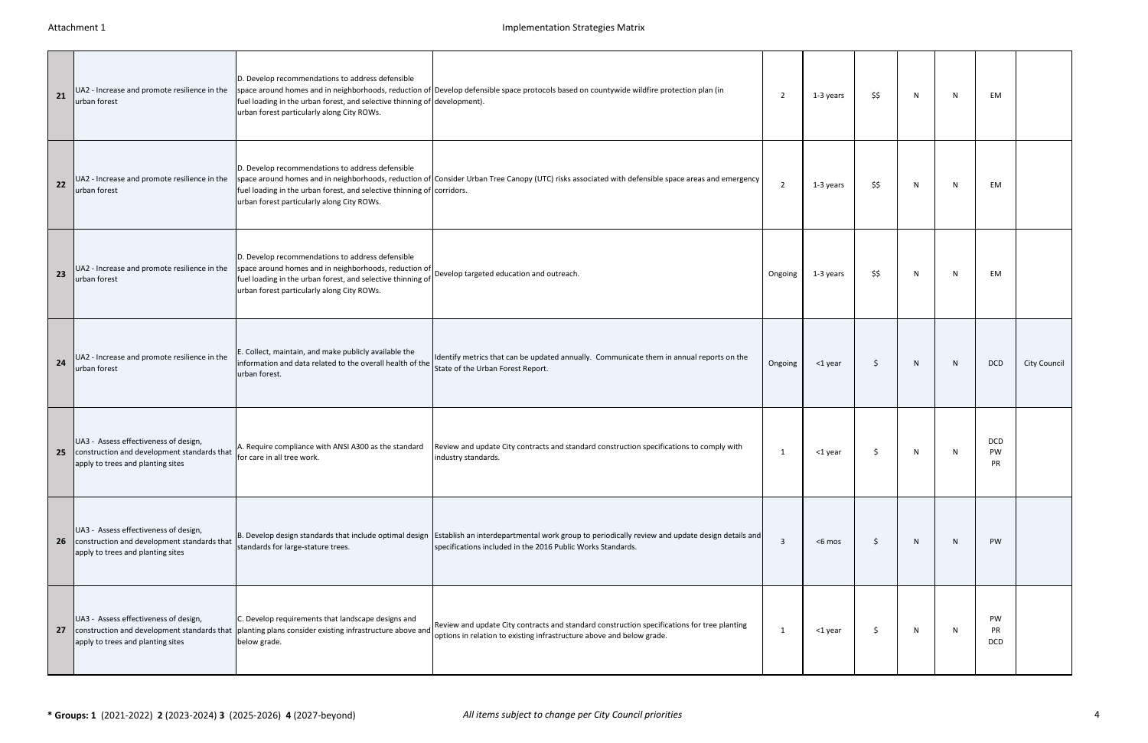| 21 | UA2 - Increase and promote resilience in the<br>urban forest                                                                 | D. Develop recommendations to address defensible<br>fuel loading in the urban forest, and selective thinning of development).<br>urban forest particularly along City ROWs.                                                                                     | space around homes and in neighborhoods, reduction of Develop defensible space protocols based on countywide wildfire protection plan (in                                                                             | $\overline{2}$ | 1-3 years | \$\$ | N            | N | EM                                   |                     |
|----|------------------------------------------------------------------------------------------------------------------------------|-----------------------------------------------------------------------------------------------------------------------------------------------------------------------------------------------------------------------------------------------------------------|-----------------------------------------------------------------------------------------------------------------------------------------------------------------------------------------------------------------------|----------------|-----------|------|--------------|---|--------------------------------------|---------------------|
| 22 | UA2 - Increase and promote resilience in the<br>urban forest                                                                 | D. Develop recommendations to address defensible<br>fuel loading in the urban forest, and selective thinning of corridors.<br>urban forest particularly along City ROWs.                                                                                        | space around homes and in neighborhoods, reduction of Consider Urban Tree Canopy (UTC) risks associated with defensible space areas and emergency                                                                     | $\overline{2}$ | 1-3 years | \$\$ | N            | N | EM                                   |                     |
| 23 | UA2 - Increase and promote resilience in the<br>urban forest                                                                 | D. Develop recommendations to address defensible<br>space around homes and in neighborhoods, reduction of Develop targeted education and outreach.<br>fuel loading in the urban forest, and selective thinning of<br>urban forest particularly along City ROWs. |                                                                                                                                                                                                                       | Ongoing        | 1-3 years | \$\$ | N            | N | EM                                   |                     |
| 24 | UA2 - Increase and promote resilience in the<br>urban forest                                                                 | E. Collect, maintain, and make publicly available the<br>information and data related to the overall health of the<br>urban forest.                                                                                                                             | Identify metrics that can be updated annually. Communicate them in annual reports on the<br>State of the Urban Forest Report.                                                                                         | Ongoing        | <1 year   | -S   | $\mathsf{N}$ | N | <b>DCD</b>                           | <b>City Council</b> |
| 25 | UA3 - Assess effectiveness of design,<br>construction and development standards that<br>apply to trees and planting sites    | for care in all tree work.                                                                                                                                                                                                                                      | A. Require compliance with ANSI A300 as the standard Review and update City contracts and standard construction specifications to comply with<br>industry standards.                                                  | -1             | <1 year   |      | N            | N | <b>DCD</b><br><b>PW</b><br><b>PR</b> |                     |
|    | UA3 - Assess effectiveness of design,<br>26 construction and development standards that<br>apply to trees and planting sites | standards for large-stature trees.                                                                                                                                                                                                                              | B. Develop design standards that include optimal design Establish an interdepartmental work group to periodically review and update design details and<br>specifications included in the 2016 Public Works Standards. | $\overline{3}$ | <6 mos    | Ŝ.   | $\mathsf{N}$ | N | PW                                   |                     |
|    | UA3 - Assess effectiveness of design,<br>apply to trees and planting sites                                                   | C. Develop requirements that landscape designs and<br>27 construction and development standards that planting plans consider existing infrastructure above and<br>below grade.                                                                                  | Review and update City contracts and standard construction specifications for tree planting<br>options in relation to existing infrastructure above and below grade.                                                  | -1             | <1 year   | -S   | N            | N | PW<br>PR<br><b>DCD</b>               |                     |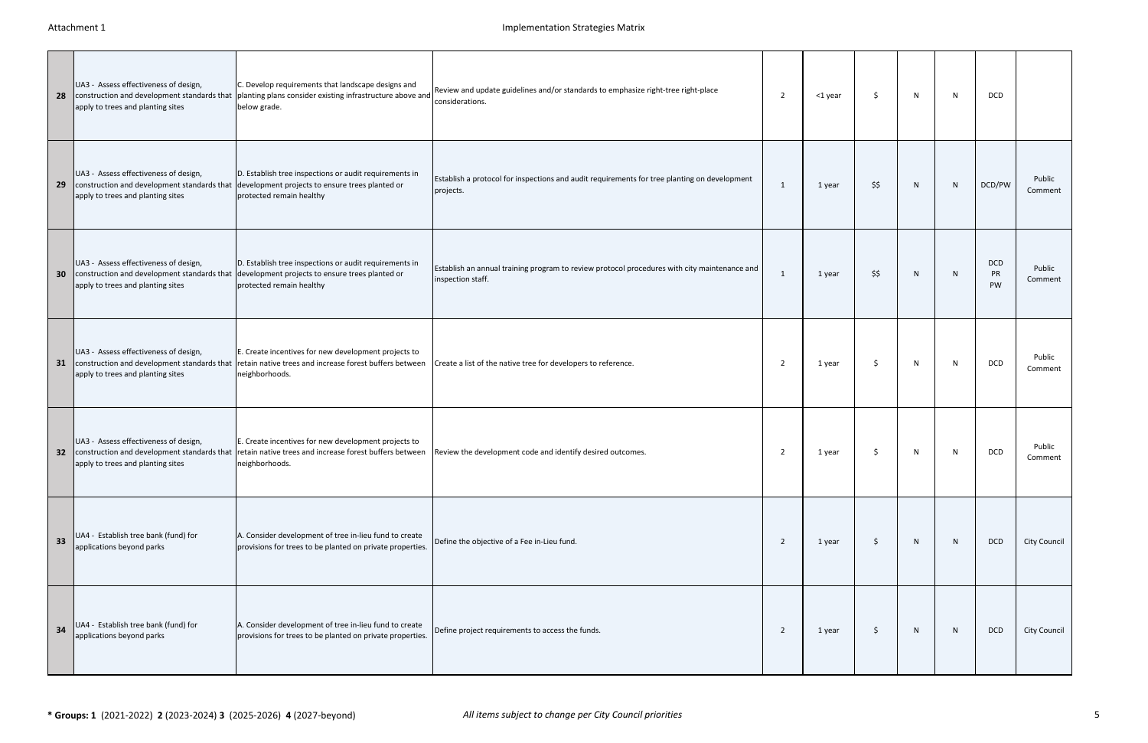| 28 | UA3 - Assess effectiveness of design,<br>apply to trees and planting sites                                                | C. Develop requirements that landscape designs and<br>construction and development standards that planting plans consider existing infrastructure above and<br>below grade.       | Review and update guidelines and/or standards to emphasize right-tree right-place<br>considerations.              | $\overline{2}$ | <1 year | Ŝ.   | N | N | <b>DCD</b>                           |                   |
|----|---------------------------------------------------------------------------------------------------------------------------|-----------------------------------------------------------------------------------------------------------------------------------------------------------------------------------|-------------------------------------------------------------------------------------------------------------------|----------------|---------|------|---|---|--------------------------------------|-------------------|
| 29 | UA3 - Assess effectiveness of design,<br>apply to trees and planting sites                                                | D. Establish tree inspections or audit requirements in<br>construction and development standards that development projects to ensure trees planted or<br>protected remain healthy | Establish a protocol for inspections and audit requirements for tree planting on development<br>projects.         | - 1            | 1 year  | \$\$ | N | N | DCD/PW                               | Public<br>Comment |
| 30 | UA3 - Assess effectiveness of design,<br>construction and development standards that<br>apply to trees and planting sites | D. Establish tree inspections or audit requirements in<br>development projects to ensure trees planted or<br>protected remain healthy                                             | Establish an annual training program to review protocol procedures with city maintenance and<br>inspection staff. | -1             | 1 year  | \$\$ | N | N | <b>DCD</b><br><b>PR</b><br><b>PW</b> | Public<br>Comment |
| 31 | UA3 - Assess effectiveness of design,<br>construction and development standards that<br>apply to trees and planting sites | E. Create incentives for new development projects to<br>retain native trees and increase forest buffers between<br>neighborhoods.                                                 | Create a list of the native tree for developers to reference.                                                     | 2              | 1 year  | Ŝ.   | N | N | <b>DCD</b>                           | Public<br>Comment |
| 32 | UA3 - Assess effectiveness of design,<br>apply to trees and planting sites                                                | E. Create incentives for new development projects to<br>construction and development standards that retain native trees and increase forest buffers between<br>neighborhoods.     | Review the development code and identify desired outcomes.                                                        | -2             | 1 year  | \$.  | N | N | <b>DCD</b>                           | Public<br>Comment |
| 33 | UA4 - Establish tree bank (fund) for<br>applications beyond parks                                                         | A. Consider development of tree in-lieu fund to create<br>provisions for trees to be planted on private properties.                                                               | Define the objective of a Fee in-Lieu fund.                                                                       | $\overline{2}$ | 1 year  | \$   | N | N | <b>DCD</b>                           | City Council      |
| 34 | UA4 - Establish tree bank (fund) for<br>applications beyond parks                                                         | A. Consider development of tree in-lieu fund to create<br>provisions for trees to be planted on private properties.                                                               | Define project requirements to access the funds.                                                                  | $\overline{2}$ | 1 year  | \$   | N | N | DCD                                  | City Council      |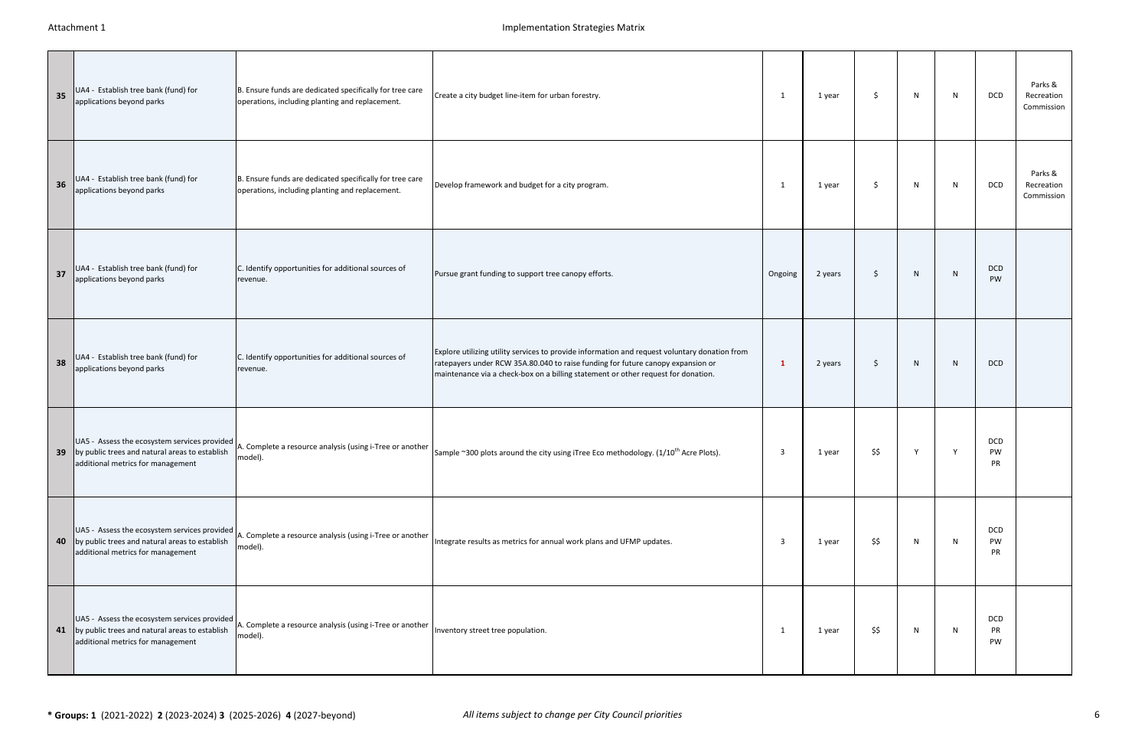| 35              | UA4 - Establish tree bank (fund) for<br>applications beyond parks                      | B. Ensure funds are dedicated specifically for tree care<br>operations, including planting and replacement.              | Create a city budget line-item for urban forestry.                                                                                                                                                                                                                    | -1                      | 1 year  | \$   | N            | $\mathsf{N}$ | DCD                     | Parks &<br>Recreation<br>Commission |
|-----------------|----------------------------------------------------------------------------------------|--------------------------------------------------------------------------------------------------------------------------|-----------------------------------------------------------------------------------------------------------------------------------------------------------------------------------------------------------------------------------------------------------------------|-------------------------|---------|------|--------------|--------------|-------------------------|-------------------------------------|
| 36              | UA4 - Establish tree bank (fund) for<br>applications beyond parks                      | B. Ensure funds are dedicated specifically for tree care<br>operations, including planting and replacement.              | Develop framework and budget for a city program.                                                                                                                                                                                                                      | 1                       | 1 year  | S.   | N            | N            | <b>DCD</b>              | Parks &<br>Recreation<br>Commission |
| 37              | UA4 - Establish tree bank (fund) for<br>applications beyond parks                      | C. Identify opportunities for additional sources of<br>revenue.                                                          | Pursue grant funding to support tree canopy efforts.                                                                                                                                                                                                                  | Ongoing                 | 2 years | \$   | N            | N            | <b>DCD</b><br><b>PW</b> |                                     |
| 38              | UA4 - Establish tree bank (fund) for<br>applications beyond parks                      | C. Identify opportunities for additional sources of<br>revenue.                                                          | Explore utilizing utility services to provide information and request voluntary donation from<br>ratepayers under RCW 35A.80.040 to raise funding for future canopy expansion or<br>maintenance via a check-box on a billing statement or other request for donation. | -1                      | 2 years | \$   | N            | N            | <b>DCD</b>              |                                     |
| 39 <sup>°</sup> | by public trees and natural areas to establish<br>additional metrics for management    | UA5 - Assess the ecosystem services provided A. Complete a resource analysis (using i-Tree or another<br>model).         | Sample ~300 plots around the city using iTree Eco methodology. (1/10 <sup>th</sup> Acre Plots).                                                                                                                                                                       | -3                      | 1 year  | \$\$ | <sup>V</sup> | Y            | DCD<br>PW<br>PR         |                                     |
|                 | 40 by public trees and natural areas to establish<br>additional metrics for management | UA5 - Assess the ecosystem services provided A. Complete a resource analysis (using i-Tree or another<br>model).         | Integrate results as metrics for annual work plans and UFMP updates.                                                                                                                                                                                                  | $\overline{\mathbf{3}}$ | 1 year  | \$\$ | N            | N            | <b>DCD</b><br>PW.<br>PR |                                     |
|                 | 41 by public trees and natural areas to establish<br>additional metrics for management | UA5 - Assess the ecosystem services provided $\vert$ A. Complete a resource analysis (using i-Tree or another<br>model). | Inventory street tree population.                                                                                                                                                                                                                                     | 1                       | 1 year  | \$\$ | N            | N            | DCD<br>PR<br>PW         |                                     |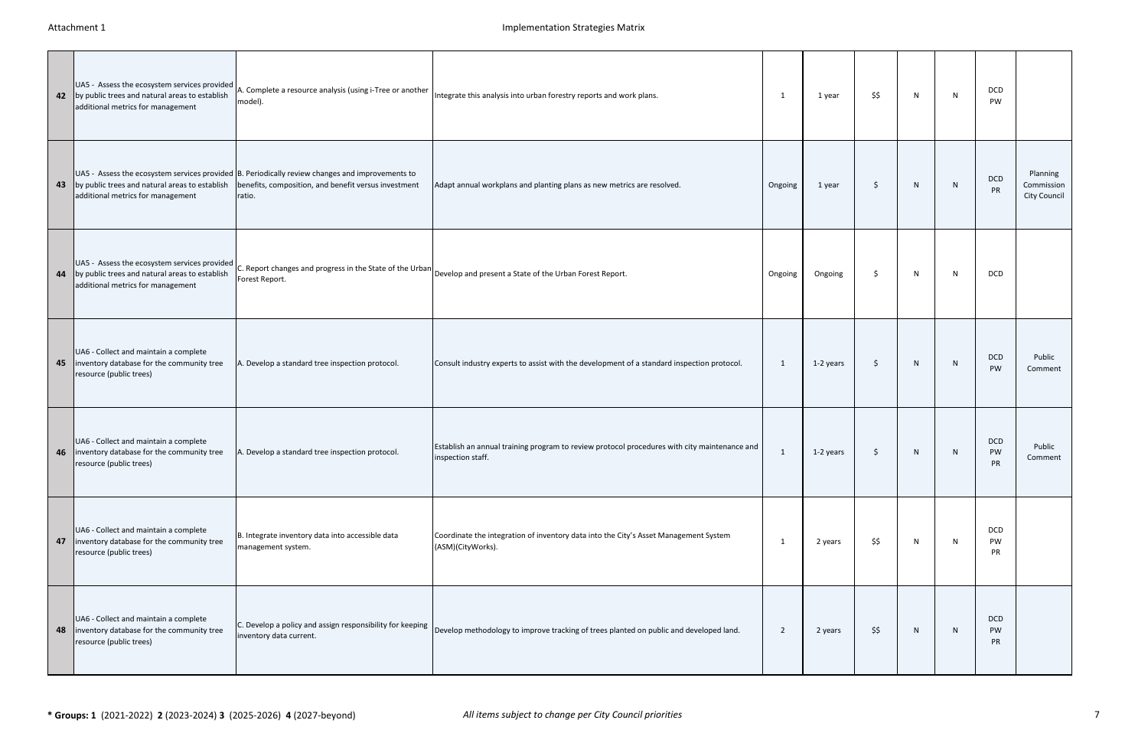|    | UA5 - Assess the ecosystem services provided<br>42 by public trees and natural areas to establish<br>additional metrics for management | A. Complete a resource analysis (using i-Tree or another<br>model).                                                                                               | Integrate this analysis into urban forestry reports and work plans.                                                                    | - 1            | 1 year    | \$\$ | N  | N | <b>DCD</b><br>PW                     |                                        |
|----|----------------------------------------------------------------------------------------------------------------------------------------|-------------------------------------------------------------------------------------------------------------------------------------------------------------------|----------------------------------------------------------------------------------------------------------------------------------------|----------------|-----------|------|----|---|--------------------------------------|----------------------------------------|
|    | 43 by public trees and natural areas to establish<br>additional metrics for management                                                 | UA5 - Assess the ecosystem services provided B. Periodically review changes and improvements to<br>benefits, composition, and benefit versus investment<br>ratio. | Adapt annual workplans and planting plans as new metrics are resolved.                                                                 | Ongoing        | 1 year    | Ŝ.   | N  | N | DCD<br>PR                            | Planning<br>Commission<br>City Council |
| 44 | UA5 - Assess the ecosystem services provided<br>by public trees and natural areas to establish<br>additional metrics for management    | Forest Report.                                                                                                                                                    | $ C$ . Report changes and progress in the State of the Urban $\bigg _{\text{Develop and present a State of the Urban Forest Report.}}$ | Ongoing        | Ongoing   | S.   | N. | N | DCD                                  |                                        |
| 45 | UA6 - Collect and maintain a complete<br>inventory database for the community tree<br>resource (public trees)                          | A. Develop a standard tree inspection protocol.                                                                                                                   | Consult industry experts to assist with the development of a standard inspection protocol.                                             | - 1            | 1-2 years | \$   | N  | N | <b>DCD</b><br><b>PW</b>              | Public<br>Comment                      |
| 46 | UA6 - Collect and maintain a complete<br>inventory database for the community tree<br>resource (public trees)                          | A. Develop a standard tree inspection protocol.                                                                                                                   | Establish an annual training program to review protocol procedures with city maintenance and<br>inspection staff.                      | -1             | 1-2 years | \$   | N  | N | <b>DCD</b><br>PW<br>PR               | Public<br>Comment                      |
| 47 | UA6 - Collect and maintain a complete<br>inventory database for the community tree<br>resource (public trees)                          | B. Integrate inventory data into accessible data<br>management system.                                                                                            | Coordinate the integration of inventory data into the City's Asset Management System<br>(ASM)(CityWorks).                              | 1              | 2 years   | \$\$ | N. | N | <b>DCD</b><br><b>PW</b><br><b>PR</b> |                                        |
|    | UA6 - Collect and maintain a complete<br>48   inventory database for the community tree<br>resource (public trees)                     | C. Develop a policy and assign responsibility for keeping<br>inventory data current.                                                                              | Develop methodology to improve tracking of trees planted on public and developed land.                                                 | $\overline{2}$ | 2 years   | \$\$ | N  | N | <b>DCD</b><br>PW<br><b>PR</b>        |                                        |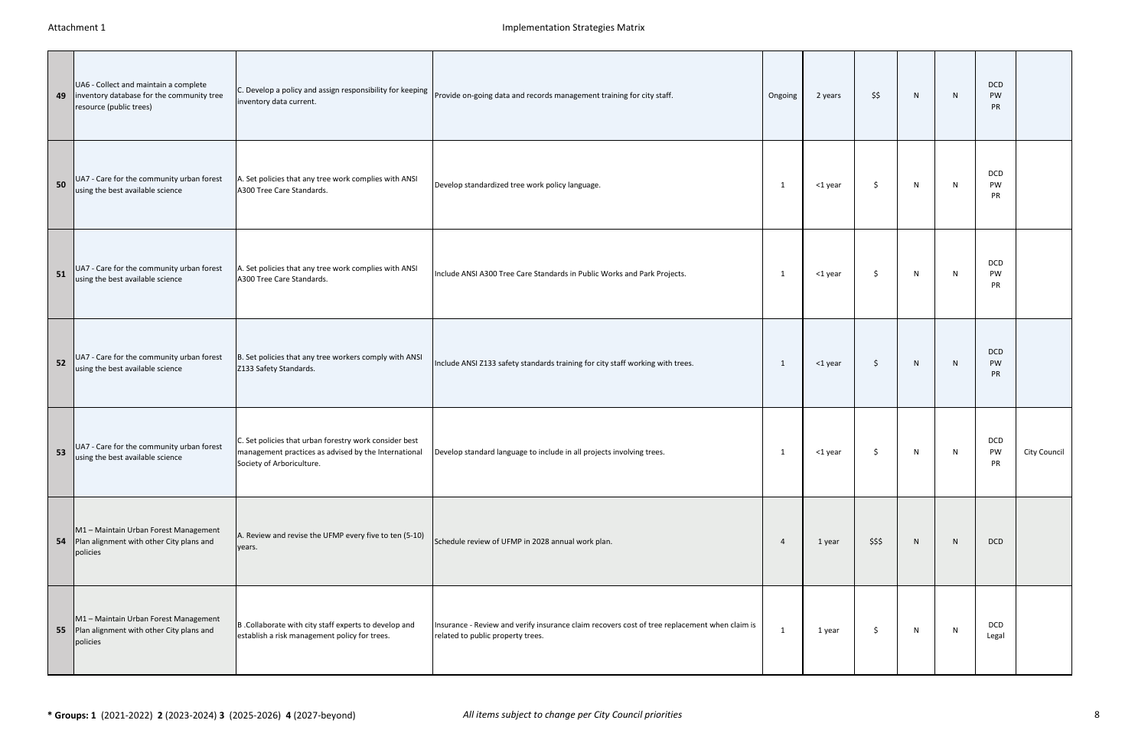| 49 | UA6 - Collect and maintain a complete<br>inventory database for the community tree<br>resource (public trees) | inventory data current.                                                                                                                     | C. Develop a policy and assign responsibility for keeping provide on-going data and records management training for city staff.    | Ongoing        | 2 years | \$\$   | N | N            | <b>DCD</b><br><b>PW</b><br><b>PR</b> |                     |
|----|---------------------------------------------------------------------------------------------------------------|---------------------------------------------------------------------------------------------------------------------------------------------|------------------------------------------------------------------------------------------------------------------------------------|----------------|---------|--------|---|--------------|--------------------------------------|---------------------|
| 50 | UA7 - Care for the community urban forest<br>using the best available science                                 | A. Set policies that any tree work complies with ANSI<br>A300 Tree Care Standards.                                                          | Develop standardized tree work policy language.                                                                                    | 1              | <1 year | \$     | N | $\mathsf{N}$ | <b>DCD</b><br>PW<br>PR               |                     |
| 51 | UA7 - Care for the community urban forest<br>using the best available science                                 | A. Set policies that any tree work complies with ANSI<br>A300 Tree Care Standards.                                                          | Include ANSI A300 Tree Care Standards in Public Works and Park Projects.                                                           | 1              | <1 year | \$     | N | $\mathsf{N}$ | <b>DCD</b><br>PW<br>PR               |                     |
| 52 | UA7 - Care for the community urban forest<br>using the best available science                                 | B. Set policies that any tree workers comply with ANSI<br>Z133 Safety Standards.                                                            | Include ANSI Z133 safety standards training for city staff working with trees.                                                     | 1              | <1 year | \$     | N | N            | <b>DCD</b><br>PW<br><b>PR</b>        |                     |
| 53 | UA7 - Care for the community urban forest<br>using the best available science                                 | C. Set policies that urban forestry work consider best<br>management practices as advised by the International<br>Society of Arboriculture. | Develop standard language to include in all projects involving trees.                                                              | -1             | <1 year | \$     | N | N            | DCD<br>PW<br>PR                      | <b>City Council</b> |
| 54 | M1 - Maintain Urban Forest Management<br>Plan alignment with other City plans and<br>policies                 | A. Review and revise the UFMP every five to ten (5-10)<br>years.                                                                            | Schedule review of UFMP in 2028 annual work plan.                                                                                  | $\overline{4}$ | 1 year  | \$\$\$ | N | ${\sf N}$    | <b>DCD</b>                           |                     |
|    | M1 - Maintain Urban Forest Management<br>55 Plan alignment with other City plans and<br>policies              | B .Collaborate with city staff experts to develop and<br>establish a risk management policy for trees.                                      | Insurance - Review and verify insurance claim recovers cost of tree replacement when claim is<br>related to public property trees. | 1              | 1 year  | \$     | N | N            | DCD<br>Legal                         |                     |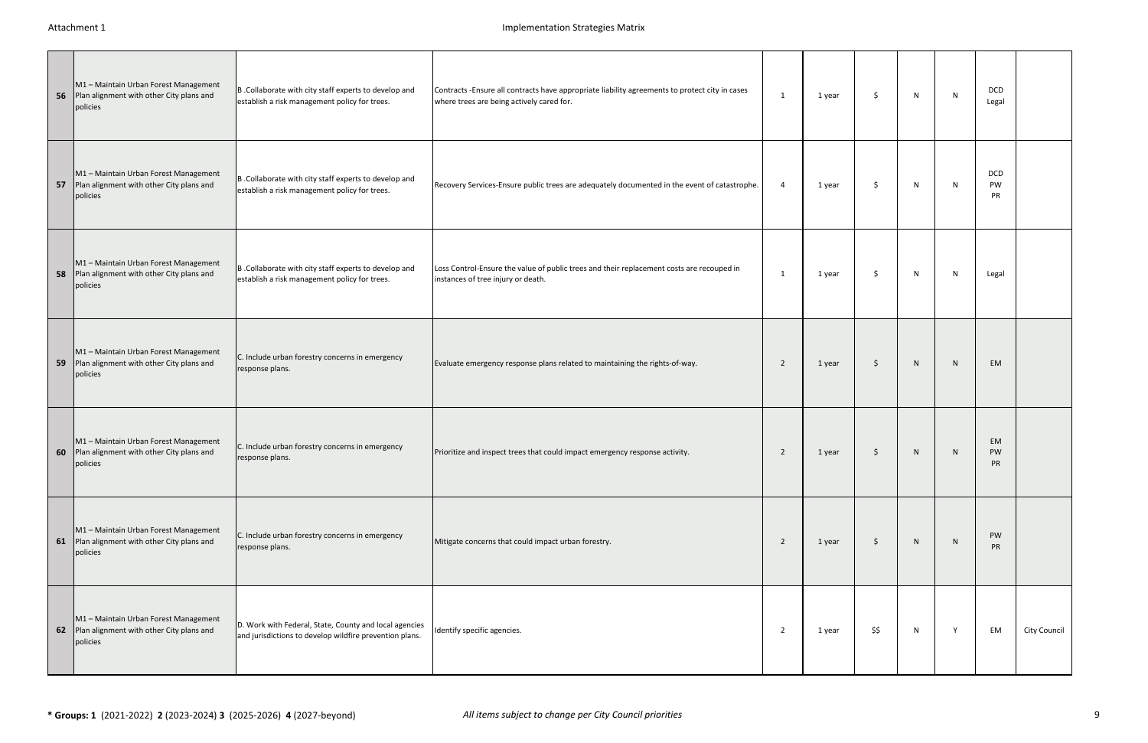|    | M1 - Maintain Urban Forest Management<br>56 Plan alignment with other City plans and<br>policies | B .Collaborate with city staff experts to develop and<br>establish a risk management policy for trees.            | Contracts -Ensure all contracts have appropriate liability agreements to protect city in cases<br>where trees are being actively cared for. | 1              | 1 year | Ŝ.   | N | N            | DCD<br>Legal           |              |
|----|--------------------------------------------------------------------------------------------------|-------------------------------------------------------------------------------------------------------------------|---------------------------------------------------------------------------------------------------------------------------------------------|----------------|--------|------|---|--------------|------------------------|--------------|
|    | M1 - Maintain Urban Forest Management<br>57 Plan alignment with other City plans and<br>policies | B .Collaborate with city staff experts to develop and<br>establish a risk management policy for trees.            | Recovery Services-Ensure public trees are adequately documented in the event of catastrophe.                                                | $\overline{4}$ | 1 year | Ŝ.   | N | $\mathsf{N}$ | <b>DCD</b><br>PW<br>PR |              |
| 58 | M1 - Maintain Urban Forest Management<br>Plan alignment with other City plans and<br>policies    | B .Collaborate with city staff experts to develop and<br>establish a risk management policy for trees.            | Loss Control-Ensure the value of public trees and their replacement costs are recouped in<br>instances of tree injury or death.             | - 1            | 1 year | Ŝ.   | N | $\mathsf{N}$ | Legal                  |              |
| 59 | M1 - Maintain Urban Forest Management<br>Plan alignment with other City plans and<br>policies    | C. Include urban forestry concerns in emergency<br>response plans.                                                | Evaluate emergency response plans related to maintaining the rights-of-way.                                                                 | $\overline{2}$ | 1 year | \$   | N | $\mathsf{N}$ | <b>EM</b>              |              |
|    | M1 - Maintain Urban Forest Management<br>60 Plan alignment with other City plans and<br>policies | C. Include urban forestry concerns in emergency<br>response plans.                                                | Prioritize and inspect trees that could impact emergency response activity.                                                                 | 2              | 1 year | \$   | N | N.           | EM.<br>PW<br><b>PR</b> |              |
|    | M1 - Maintain Urban Forest Management<br>61 Plan alignment with other City plans and<br>policies | C. Include urban forestry concerns in emergency<br>response plans.                                                | Mitigate concerns that could impact urban forestry.                                                                                         | $\overline{2}$ | 1 year | \$   | N | ${\sf N}$    | PW<br><b>PR</b>        |              |
|    | M1 - Maintain Urban Forest Management<br>62 Plan alignment with other City plans and<br>policies | D. Work with Federal, State, County and local agencies<br>and jurisdictions to develop wildfire prevention plans. | Identify specific agencies.                                                                                                                 | $\overline{2}$ | 1 year | \$\$ | N | Y            | EM                     | City Council |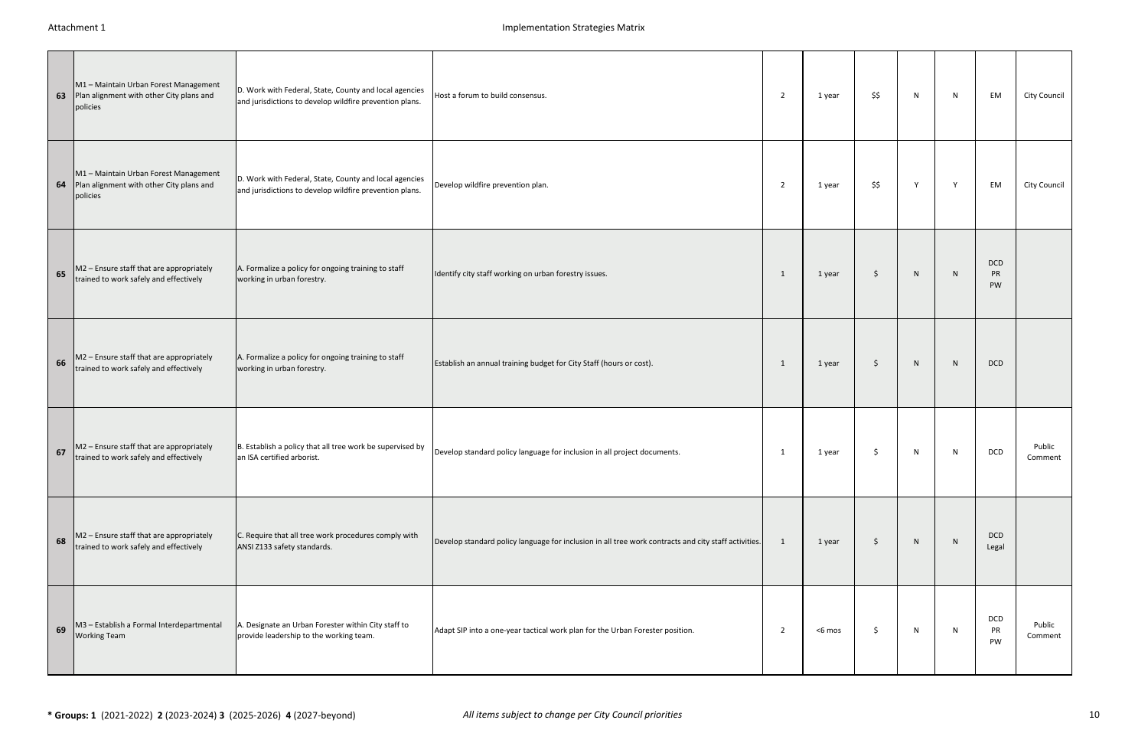|    | M1 - Maintain Urban Forest Management<br>63 Plan alignment with other City plans and<br>policies | D. Work with Federal, State, County and local agencies<br>and jurisdictions to develop wildfire prevention plans. | Host a forum to build consensus.                                                                     | $\overline{2}$ | 1 year | \$\$               | N | N | EM                                   | City Council      |
|----|--------------------------------------------------------------------------------------------------|-------------------------------------------------------------------------------------------------------------------|------------------------------------------------------------------------------------------------------|----------------|--------|--------------------|---|---|--------------------------------------|-------------------|
|    | M1 - Maintain Urban Forest Management<br>64 Plan alignment with other City plans and<br>policies | D. Work with Federal, State, County and local agencies<br>and jurisdictions to develop wildfire prevention plans. | Develop wildfire prevention plan.                                                                    | $\overline{2}$ | 1 year | \$\$               | Y | Y | EM                                   | City Council      |
| 65 | M2 - Ensure staff that are appropriately<br>trained to work safely and effectively               | A. Formalize a policy for ongoing training to staff<br>working in urban forestry.                                 | Identify city staff working on urban forestry issues.                                                | $\mathbf{1}$   | 1 year | \$                 | N | N | <b>DCD</b><br><b>PR</b><br><b>PW</b> |                   |
| 66 | M2 - Ensure staff that are appropriately<br>trained to work safely and effectively               | A. Formalize a policy for ongoing training to staff<br>working in urban forestry.                                 | Establish an annual training budget for City Staff (hours or cost).                                  | -1             | 1 year | \$                 | N | N | DCD                                  |                   |
| 67 | M2 - Ensure staff that are appropriately<br>trained to work safely and effectively               | B. Establish a policy that all tree work be supervised by<br>an ISA certified arborist.                           | Develop standard policy language for inclusion in all project documents.                             | -1             | 1 year | \$                 | N | N | <b>DCD</b>                           | Public<br>Comment |
| 68 | M2 - Ensure staff that are appropriately<br>trained to work safely and effectively               | C. Require that all tree work procedures comply with<br>ANSI Z133 safety standards.                               | Develop standard policy language for inclusion in all tree work contracts and city staff activities. | $\overline{1}$ | 1 year | $\ddot{\varsigma}$ | N | N | <b>DCD</b><br>Legal                  |                   |
| 69 | M3 - Establish a Formal Interdepartmental<br><b>Working Team</b>                                 | A. Designate an Urban Forester within City staff to<br>provide leadership to the working team.                    | Adapt SIP into a one-year tactical work plan for the Urban Forester position.                        | 2              | <6 mos | \$                 | N | N | DCD<br>PR<br>PW                      | Public<br>Comment |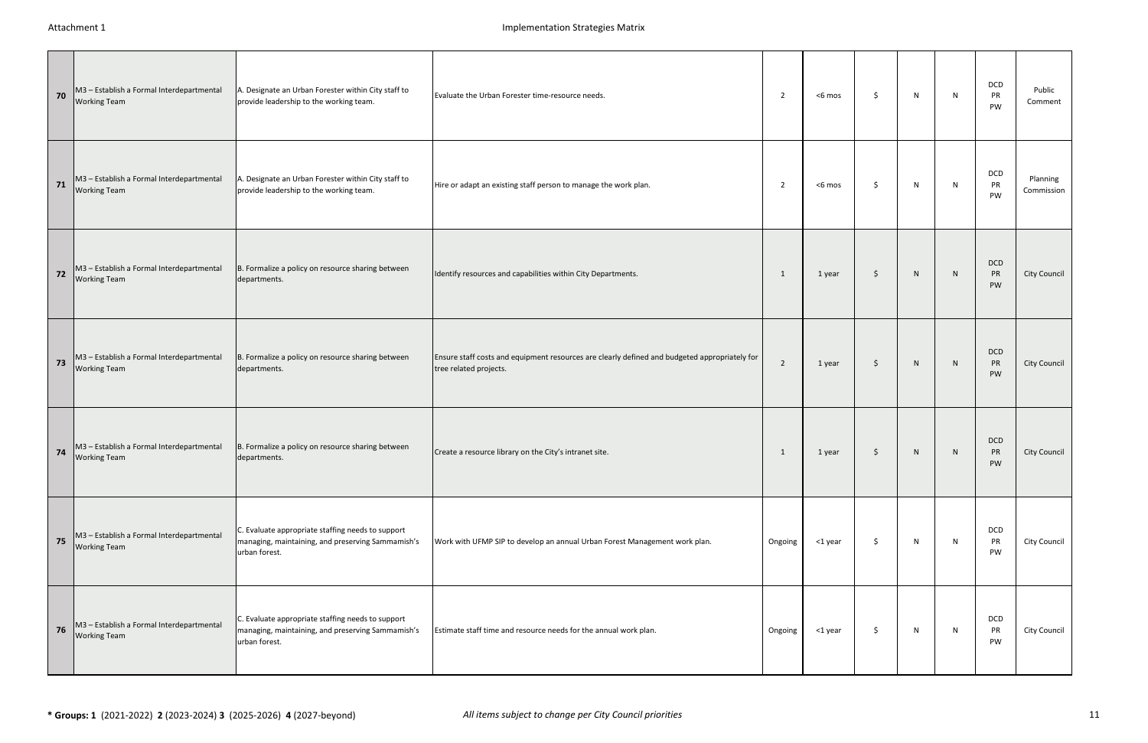| 70 | M3 - Establish a Formal Interdepartmental<br><b>Working Team</b> | A. Designate an Urban Forester within City staff to<br>provide leadership to the working team.                          | Evaluate the Urban Forester time-resource needs.                                                                        | 2              | <6 mos  | \$ | N | N | DCD<br>PR<br>PW | Public<br>Comment      |
|----|------------------------------------------------------------------|-------------------------------------------------------------------------------------------------------------------------|-------------------------------------------------------------------------------------------------------------------------|----------------|---------|----|---|---|-----------------|------------------------|
| 71 | M3 - Establish a Formal Interdepartmental<br><b>Working Team</b> | A. Designate an Urban Forester within City staff to<br>provide leadership to the working team.                          | Hire or adapt an existing staff person to manage the work plan.                                                         | 2              | <6 mos  | Ŝ. | N | N | DCD<br>PR<br>PW | Planning<br>Commission |
| 72 | M3 - Establish a Formal Interdepartmental<br><b>Working Team</b> | B. Formalize a policy on resource sharing between<br>departments.                                                       | Identify resources and capabilities within City Departments.                                                            | -1             | 1 year  | \$ | N | N | DCD<br>PR<br>PW | <b>City Council</b>    |
| 73 | M3 - Establish a Formal Interdepartmental<br><b>Working Team</b> | B. Formalize a policy on resource sharing between<br>departments.                                                       | Ensure staff costs and equipment resources are clearly defined and budgeted appropriately for<br>tree related projects. | $\overline{2}$ | 1 year  | \$ | N | N | DCD<br>PR<br>PW | City Council           |
| 74 | M3 - Establish a Formal Interdepartmental<br><b>Working Team</b> | B. Formalize a policy on resource sharing between<br>departments.                                                       | Create a resource library on the City's intranet site.                                                                  | 1              | 1 year  | \$ | N | N | DCD<br>PR<br>PW | City Council           |
| 75 | M3 - Establish a Formal Interdepartmental<br><b>Working Team</b> | C. Evaluate appropriate staffing needs to support<br>managing, maintaining, and preserving Sammamish's<br>urban forest. | Work with UFMP SIP to develop an annual Urban Forest Management work plan.                                              | Ongoing        | <1 year | \$ | N | N | DCD<br>PR<br>PW | City Council           |
| 76 | M3 - Establish a Formal Interdepartmental<br><b>Working Team</b> | C. Evaluate appropriate staffing needs to support<br>managing, maintaining, and preserving Sammamish's<br>urban forest. | Estimate staff time and resource needs for the annual work plan.                                                        | Ongoing        | <1 year | \$ | N | N | DCD<br>PR<br>PW | City Council           |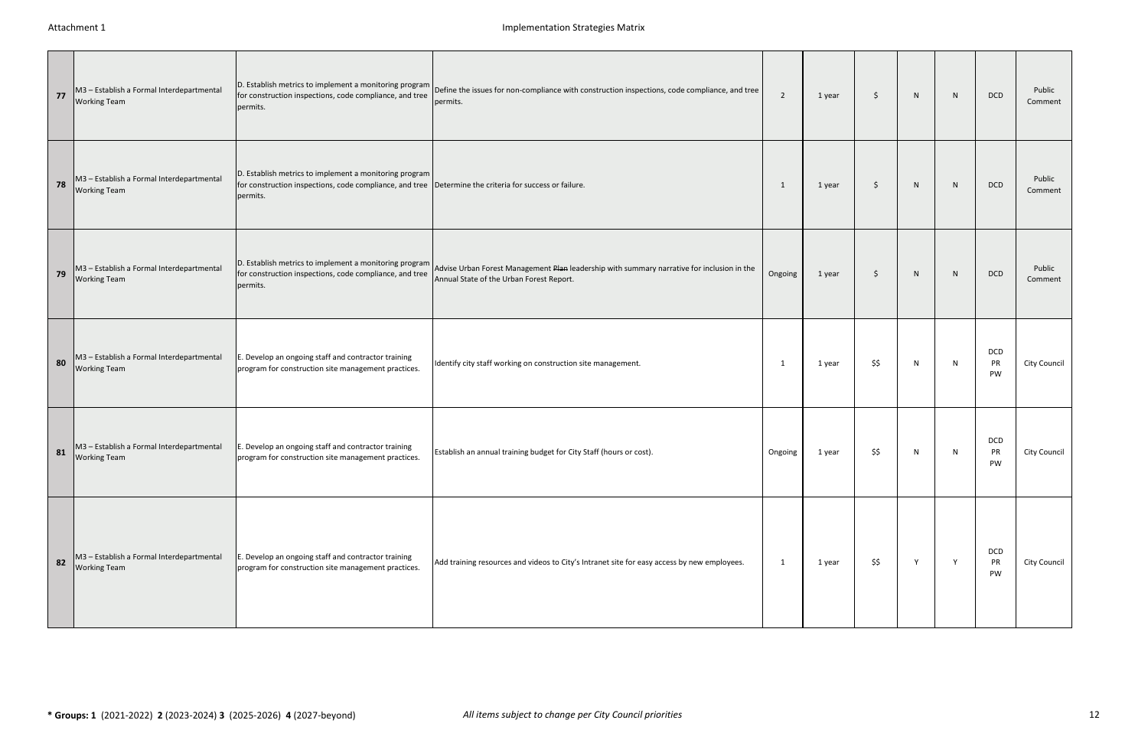| 77 | M3 - Establish a Formal Interdepartmental<br><b>Working Team</b> | for construction inspections, code compliance, and tree<br>permits.                                                                                                           | D. Establish metrics to implement a monitoring program Define the issues for non-compliance with construction inspections, code compliance, and tree<br>permits.                              | $\overline{2}$ | 1 year | Ŝ.   | N | N | <b>DCD</b>      | Public<br>Comment |
|----|------------------------------------------------------------------|-------------------------------------------------------------------------------------------------------------------------------------------------------------------------------|-----------------------------------------------------------------------------------------------------------------------------------------------------------------------------------------------|----------------|--------|------|---|---|-----------------|-------------------|
| 78 | M3 - Establish a Formal Interdepartmental<br><b>Working Team</b> | D. Establish metrics to implement a monitoring program<br>for construction inspections, code compliance, and tree  Determine the criteria for success or failure.<br>permits. |                                                                                                                                                                                               | -1             | 1 year | Ŝ.   | N | N | <b>DCD</b>      | Public<br>Comment |
| 79 | M3 - Establish a Formal Interdepartmental<br><b>Working Team</b> | for construction inspections, code compliance, and tree<br>permits.                                                                                                           | D. Establish metrics to implement a monitoring program Advise Urban Forest Management Plan leadership with summary narrative for inclusion in the<br>Annual State of the Urban Forest Report. | Ongoing        | 1 year | Ŝ.   | N | N | <b>DCD</b>      | Public<br>Comment |
| 80 | M3 - Establish a Formal Interdepartmental<br><b>Working Team</b> | E. Develop an ongoing staff and contractor training<br>program for construction site management practices.                                                                    | Identify city staff working on construction site management.                                                                                                                                  | -1             | 1 year | \$\$ | N | N | DCD<br>PR<br>PW | City Council      |
| 81 | M3 - Establish a Formal Interdepartmental<br><b>Working Team</b> | E. Develop an ongoing staff and contractor training<br>program for construction site management practices.                                                                    | Establish an annual training budget for City Staff (hours or cost).                                                                                                                           | Ongoing        | 1 year | \$\$ | N | N | DCD<br>PR<br>PW | City Council      |
| 82 | M3 - Establish a Formal Interdepartmental<br><b>Working Team</b> | E. Develop an ongoing staff and contractor training<br>program for construction site management practices.                                                                    | Add training resources and videos to City's Intranet site for easy access by new employees.                                                                                                   | 1              | 1 year | \$\$ | Y | Y | DCD<br>PR<br>PW | City Council      |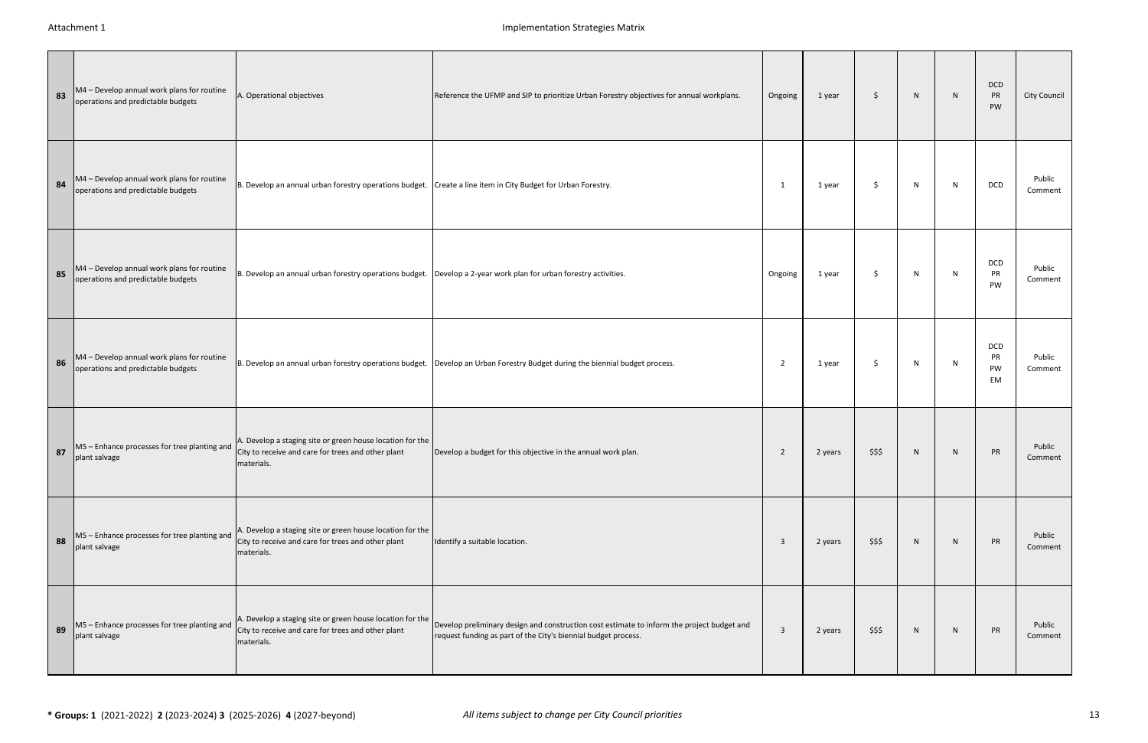| 83 | M4 - Develop annual work plans for routine<br>operations and predictable budgets | A. Operational objectives                                                                                                     | Reference the UFMP and SIP to prioritize Urban Forestry objectives for annual workplans.                                                                     | Ongoing                 | 1 year  | \$     | $\mathsf{N}$ | N | DCD<br>PR<br>PW              | City Council      |
|----|----------------------------------------------------------------------------------|-------------------------------------------------------------------------------------------------------------------------------|--------------------------------------------------------------------------------------------------------------------------------------------------------------|-------------------------|---------|--------|--------------|---|------------------------------|-------------------|
| 84 | M4 - Develop annual work plans for routine<br>operations and predictable budgets | B. Develop an annual urban forestry operations budget. Create a line item in City Budget for Urban Forestry.                  |                                                                                                                                                              | - 1                     | 1 year  | Ŝ.     | N            | N | DCD                          | Public<br>Comment |
| 85 | M4 - Develop annual work plans for routine<br>operations and predictable budgets | B. Develop an annual urban forestry operations budget. Develop a 2-year work plan for urban forestry activities.              |                                                                                                                                                              | Ongoing                 | 1 year  | \$     | N            | N | DCD<br>PR<br>PW              | Public<br>Comment |
| 86 | M4 - Develop annual work plans for routine<br>operations and predictable budgets |                                                                                                                               | B. Develop an annual urban forestry operations budget. Develop an Urban Forestry Budget during the biennial budget process.                                  | 2                       | 1 year  | \$     | N            | N | DCD<br>PR<br>PW<br><b>EM</b> | Public<br>Comment |
| 87 | M5 - Enhance processes for tree planting and<br>plant salvage                    | A. Develop a staging site or green house location for the<br>City to receive and care for trees and other plant<br>materials. | Develop a budget for this objective in the annual work plan.                                                                                                 | $\overline{2}$          | 2 years | \$\$\$ | N            | N | PR                           | Public<br>Comment |
| 88 | M5 - Enhance processes for tree planting and<br>plant salvage                    | A. Develop a staging site or green house location for the<br>City to receive and care for trees and other plant<br>materials. | Identify a suitable location.                                                                                                                                | $\overline{\mathbf{3}}$ | 2 years | \$\$\$ | N            | N | PR                           | Public<br>Comment |
| 89 | M5 - Enhance processes for tree planting and<br>plant salvage                    | A. Develop a staging site or green house location for the<br>City to receive and care for trees and other plant<br>materials. | Develop preliminary design and construction cost estimate to inform the project budget and<br>request funding as part of the City's biennial budget process. | $\overline{3}$          | 2 years | \$\$\$ | N            | N | PR                           | Public<br>Comment |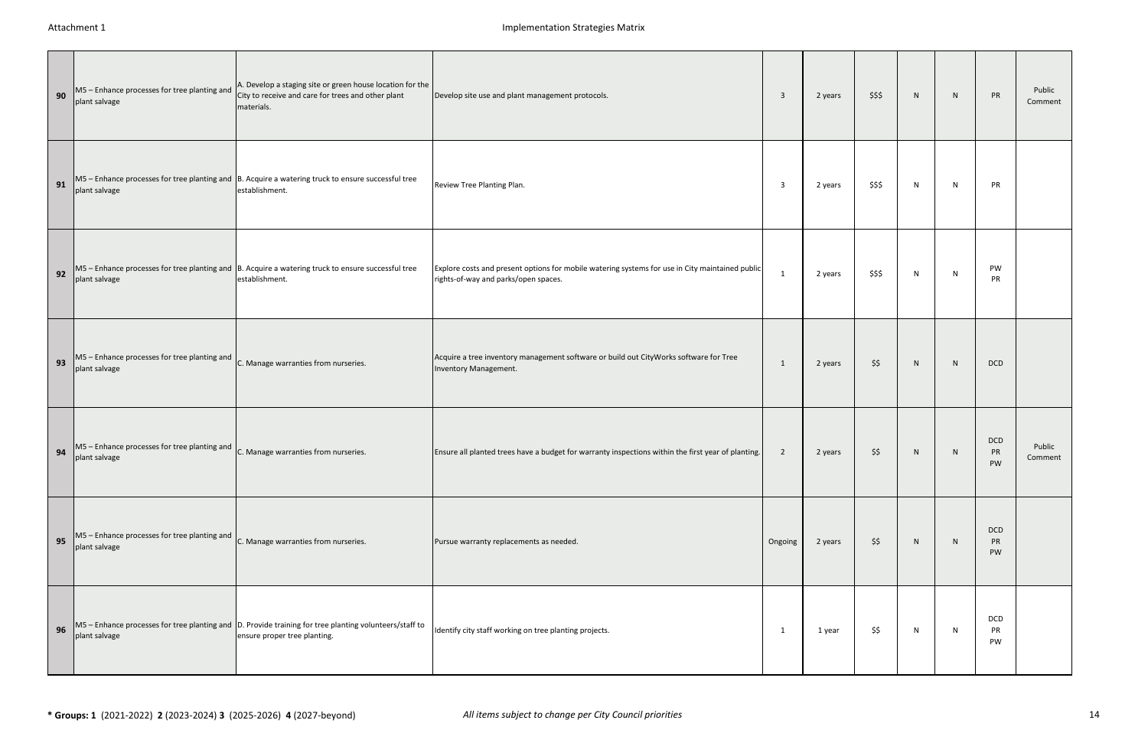| 90 | M5 - Enhance processes for tree planting and<br>plant salvage                                                   | A. Develop a staging site or green house location for the<br>City to receive and care for trees and other plant<br>materials.                     | Develop site use and plant management protocols.                                                                                        | $\overline{\mathbf{3}}$ | 2 years | \$\$\$ | $\mathsf{N}$ | N | PR                     | Public<br>Comment |
|----|-----------------------------------------------------------------------------------------------------------------|---------------------------------------------------------------------------------------------------------------------------------------------------|-----------------------------------------------------------------------------------------------------------------------------------------|-------------------------|---------|--------|--------------|---|------------------------|-------------------|
| 91 | plant salvage                                                                                                   | $MS$ – Enhance processes for tree planting and $\beta$ . Acquire a watering truck to ensure successful tree<br>establishment.                     | Review Tree Planting Plan.                                                                                                              | $\overline{\mathbf{3}}$ | 2 years | \$\$\$ | N            | N | PR                     |                   |
| 92 | plant salvage                                                                                                   | $MS$ – Enhance processes for tree planting and $\beta$ . Acquire a watering truck to ensure successful tree<br>establishment.                     | Explore costs and present options for mobile watering systems for use in City maintained public<br>rights-of-way and parks/open spaces. | -1                      | 2 years | \$\$\$ | N            | N | PW<br>PR               |                   |
| 93 | $MS$ – Enhance processes for tree planting and $\Big _{C}$ . Manage warranties from nurseries.<br>plant salvage |                                                                                                                                                   | Acquire a tree inventory management software or build out CityWorks software for Tree<br>Inventory Management.                          | -1                      | 2 years | \$\$   | $\mathsf{N}$ | N | DCD                    |                   |
| 94 | $MS$ – Enhance processes for tree planting and $\Big _{C}$ . Manage warranties from nurseries.<br>plant salvage |                                                                                                                                                   | Ensure all planted trees have a budget for warranty inspections within the first year of planting.                                      | $\overline{2}$          | 2 years | \$\$   | N            | N | DCD<br>PR<br>PW        | Public<br>Comment |
| 95 | $MS$ – Enhance processes for tree planting and $\Big _{C}$ . Manage warranties from nurseries.<br>plant salvage |                                                                                                                                                   | Pursue warranty replacements as needed.                                                                                                 | Ongoing                 | 2 years | \$\$   | $\mathsf{N}$ | N | <b>DCD</b><br>PR<br>PW |                   |
| 96 | plant salvage                                                                                                   | $MS$ – Enhance processes for tree planting and $\vert D$ . Provide training for tree planting volunteers/staff to<br>ensure proper tree planting. | Identify city staff working on tree planting projects.                                                                                  | -1                      | 1 year  | \$\$   | N            | N | DCD<br>PR<br>PW        |                   |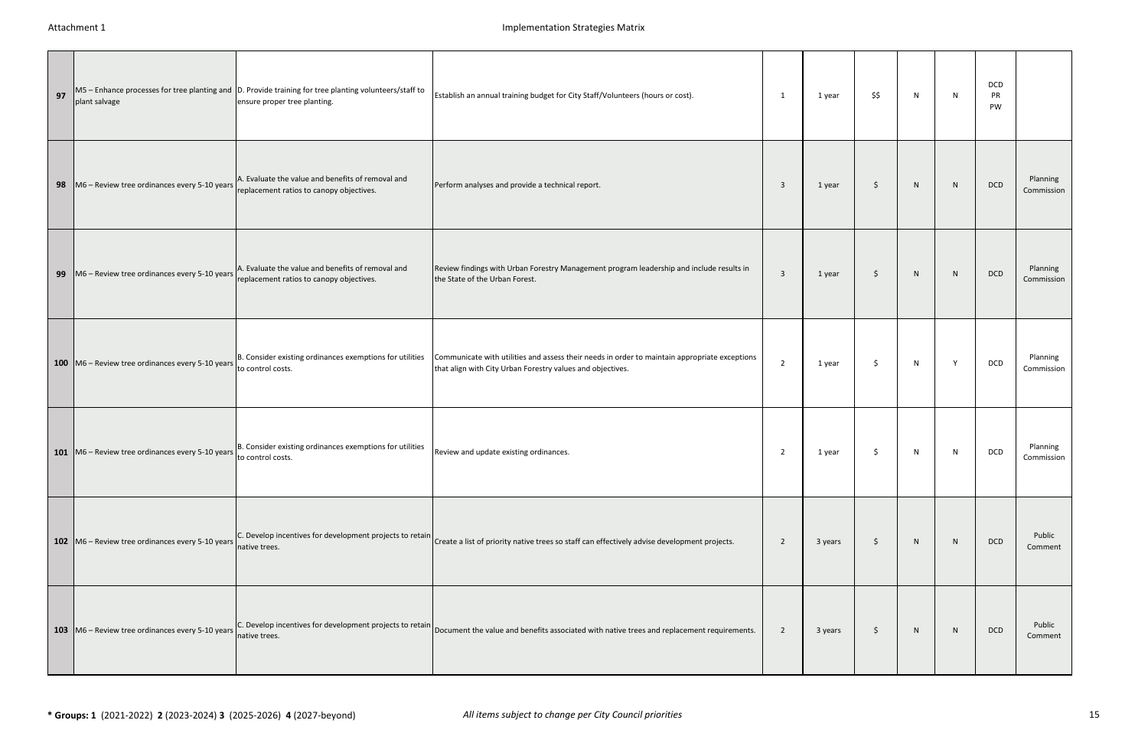| 97 | plant salvage                                              | M5 - Enhance processes for tree planting and D. Provide training for tree planting volunteers/staff to<br>ensure proper tree planting. | Establish an annual training budget for City Staff/Volunteers (hours or cost).                                                                               | - 1                     | 1 year  | \$\$               | N | N | DCD<br>PR<br>PW |                        |
|----|------------------------------------------------------------|----------------------------------------------------------------------------------------------------------------------------------------|--------------------------------------------------------------------------------------------------------------------------------------------------------------|-------------------------|---------|--------------------|---|---|-----------------|------------------------|
|    | 98 M6 - Review tree ordinances every 5-10 years            | A. Evaluate the value and benefits of removal and<br>replacement ratios to canopy objectives.                                          | Perform analyses and provide a technical report.                                                                                                             | $\overline{\mathbf{3}}$ | 1 year  | \$                 | N | N | DCD             | Planning<br>Commission |
| 99 | $MG - Review tree ordinances every 5-10 years$             | A. Evaluate the value and benefits of removal and<br>replacement ratios to canopy objectives.                                          | Review findings with Urban Forestry Management program leadership and include results in<br>the State of the Urban Forest.                                   | $\overline{\mathbf{3}}$ | 1 year  | \$                 | N | N | DCD             | Planning<br>Commission |
|    | 100 M6 - Review tree ordinances every 5-10 years           | B. Consider existing ordinances exemptions for utilities<br>to control costs.                                                          | Communicate with utilities and assess their needs in order to maintain appropriate exceptions<br>that align with City Urban Forestry values and objectives.  | $\overline{2}$          | 1 year  | \$                 | N | Y | DCD             | Planning<br>Commission |
|    | 101   M6 - Review tree ordinances every 5-10 years         | B. Consider existing ordinances exemptions for utilities<br>to control costs.                                                          | Review and update existing ordinances.                                                                                                                       | $\overline{2}$          | 1 year  | \$                 | N | N | DCD             | Planning<br>Commission |
|    | 102   M6 - Review tree ordinances every 5-10 years         | native trees.                                                                                                                          | C. Develop incentives for development projects to retain Create a list of priority native trees so staff can effectively advise development projects.        | 2                       | 3 years | $\ddot{\varsigma}$ | N | N | <b>DCD</b>      | Public<br>Comment      |
|    | 103 $\sqrt{106}$ – Review tree ordinances every 5-10 years | native trees.                                                                                                                          | $ C$ . Develop incentives for development projects to retain $ D$ pocument the value and benefits associated with native trees and replacement requirements. | $\overline{2}$          | 3 years | \$                 | N | N | <b>DCD</b>      | Public<br>Comment      |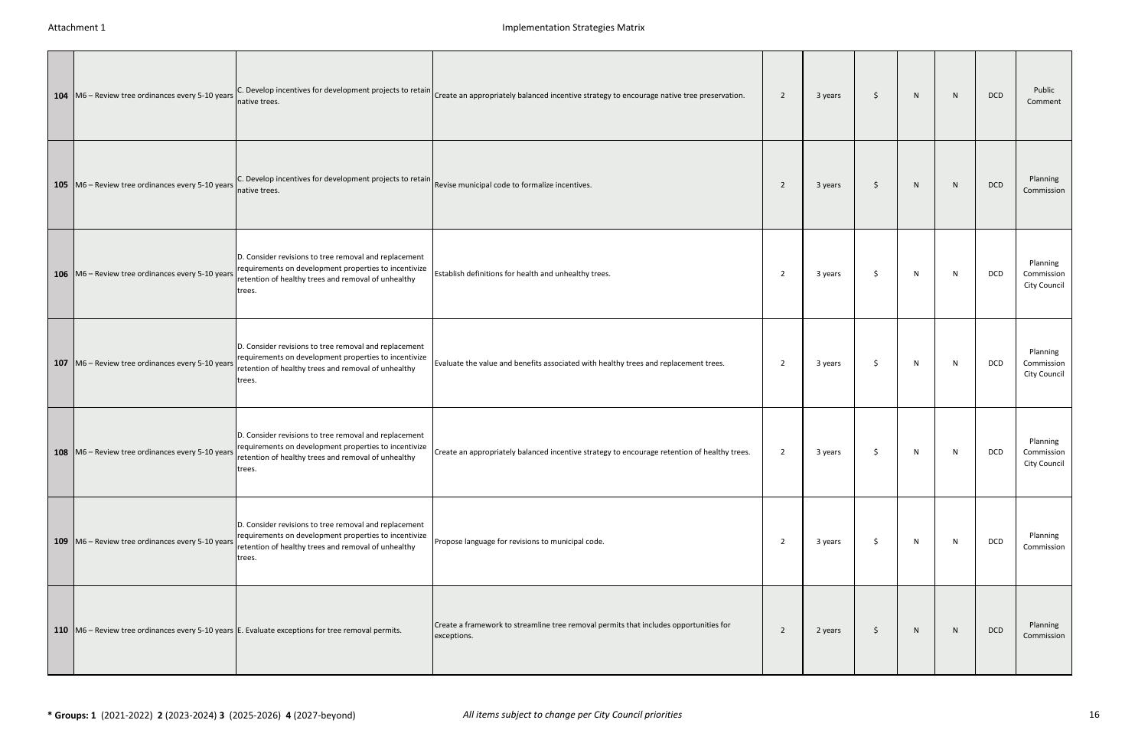| 104   M6 - Review tree ordinances every 5-10 years | C. Develop incentives for development projects to retain<br>native trees.                                                                                                       | Create an appropriately balanced incentive strategy to encourage native tree preservation.           | $\overline{2}$ | 3 years | \$  | N | N | <b>DCD</b> | Public<br>Comment                      |
|----------------------------------------------------|---------------------------------------------------------------------------------------------------------------------------------------------------------------------------------|------------------------------------------------------------------------------------------------------|----------------|---------|-----|---|---|------------|----------------------------------------|
| 105   M6 - Review tree ordinances every 5-10 years | C. Develop incentives for development projects to retain $\Big $ Revise municipal code to formalize incentives.<br>native trees.                                                |                                                                                                      | 2              | 3 years | \$  | N | N | <b>DCD</b> | Planning<br>Commission                 |
| 106   M6 - Review tree ordinances every 5-10 years | D. Consider revisions to tree removal and replacement<br>requirements on development properties to incentivize<br>retention of healthy trees and removal of unhealthy<br>trees. | Establish definitions for health and unhealthy trees.                                                | 2              | 3 years | S.  | N | N | DCD        | Planning<br>Commission<br>City Council |
| 107   M6 - Review tree ordinances every 5-10 years | D. Consider revisions to tree removal and replacement<br>requirements on development properties to incentivize<br>retention of healthy trees and removal of unhealthy<br>trees. | Evaluate the value and benefits associated with healthy trees and replacement trees.                 | 2              | 3 years | S.  | N | N | DCD        | Planning<br>Commission<br>City Council |
| 108   M6 - Review tree ordinances every 5-10 years | D. Consider revisions to tree removal and replacement<br>requirements on development properties to incentivize<br>retention of healthy trees and removal of unhealthy<br>trees. | Create an appropriately balanced incentive strategy to encourage retention of healthy trees.         | $\overline{2}$ | 3 years | \$. | N | N | <b>DCD</b> | Planning<br>Commission<br>City Council |
| 109 M6 - Review tree ordinances every 5-10 years   | D. Consider revisions to tree removal and replacement<br>requirements on development properties to incentivize<br>retention of healthy trees and removal of unhealthy<br>trees. | Propose language for revisions to municipal code.                                                    | $\overline{2}$ | 3 years | S.  | N | N | DCD        | Planning<br>Commission                 |
|                                                    | 110 $\vert$ M6 – Review tree ordinances every 5-10 years E. Evaluate exceptions for tree removal permits.                                                                       | Create a framework to streamline tree removal permits that includes opportunities for<br>exceptions. | 2              | 2 years | \$  | N | N | <b>DCD</b> | Planning<br>Commission                 |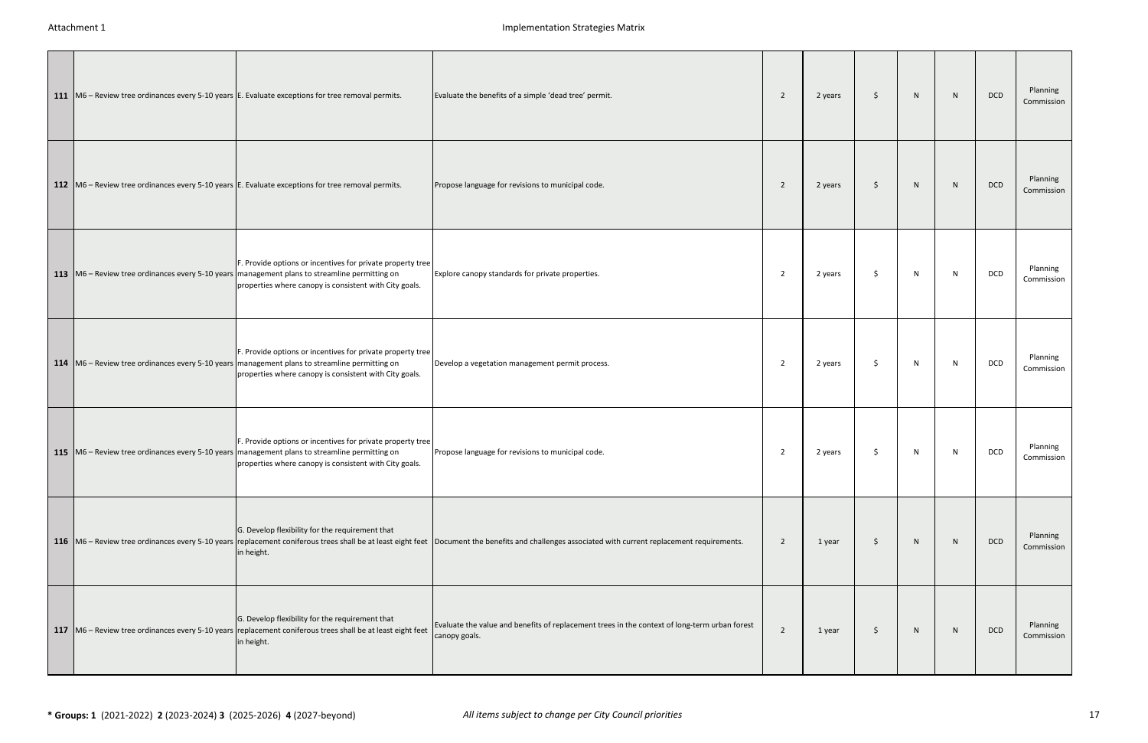|  | 111   M6 – Review tree ordinances every 5-10 years   E. Evaluate exceptions for tree removal permits.                                                                                                                     | Evaluate the benefits of a simple 'dead tree' permit.                                                                                                                                             | 2              | 2 years | \$  | N | N | DCD | Planning<br>Commission |
|--|---------------------------------------------------------------------------------------------------------------------------------------------------------------------------------------------------------------------------|---------------------------------------------------------------------------------------------------------------------------------------------------------------------------------------------------|----------------|---------|-----|---|---|-----|------------------------|
|  | 112 M6 – Review tree ordinances every 5-10 years E. Evaluate exceptions for tree removal permits.                                                                                                                         | Propose language for revisions to municipal code.                                                                                                                                                 | 2              | 2 years | S.  | N | N | DCD | Planning<br>Commission |
|  | F. Provide options or incentives for private property tree<br>113 M6 - Review tree ordinances every 5-10 years management plans to streamline permitting on<br>properties where canopy is consistent with City goals.     | Explore canopy standards for private properties.                                                                                                                                                  | 2              | 2 years | Ŝ.  | N | N | DCD | Planning<br>Commission |
|  | F. Provide options or incentives for private property tree<br>114   M6 – Review tree ordinances every 5-10 years   management plans to streamline permitting on<br>properties where canopy is consistent with City goals. | Develop a vegetation management permit process.                                                                                                                                                   | $\overline{2}$ | 2 years | \$  | N | N | DCD | Planning<br>Commission |
|  | F. Provide options or incentives for private property tree<br>115 M6 – Review tree ordinances every 5-10 years management plans to streamline permitting on<br>properties where canopy is consistent with City goals.     | Propose language for revisions to municipal code.                                                                                                                                                 | $\overline{2}$ | 2 years | \$  | N | N | DCD | Planning<br>Commission |
|  | G. Develop flexibility for the requirement that<br>in height.                                                                                                                                                             | 116 M6 - Review tree ordinances every 5-10 years replacement coniferous trees shall be at least eight feet Document the benefits and challenges associated with current replacement requirements. | 2              | 1 year  | S.  | N | N | DCD | Planning<br>Commission |
|  | G. Develop flexibility for the requirement that<br>117 M6 – Review tree ordinances every 5-10 years replacement coniferous trees shall be at least eight feet<br>in height.                                               | Evaluate the value and benefits of replacement trees in the context of long-term urban forest<br>canopy goals.                                                                                    | 2              | 1 year  | -\$ | N | N | DCD | Planning<br>Commission |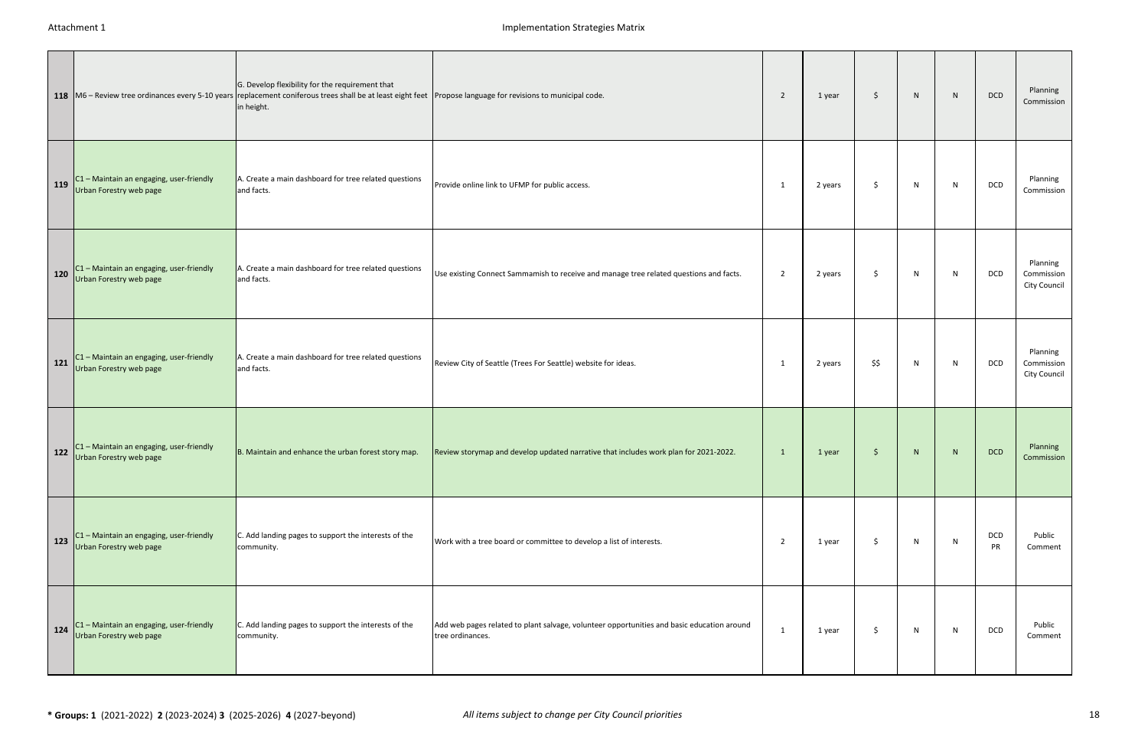|     |                                                                        | G. Develop flexibility for the requirement that<br>118   M6 - Review tree ordinances every 5-10 years replacement coniferous trees shall be at least eight feet Propose language for revisions to municipal code.<br>in height. |                                                                                                                | 2              | 1 year  | \$   | N  | N | DCD              | Planning<br>Commission                 |
|-----|------------------------------------------------------------------------|---------------------------------------------------------------------------------------------------------------------------------------------------------------------------------------------------------------------------------|----------------------------------------------------------------------------------------------------------------|----------------|---------|------|----|---|------------------|----------------------------------------|
| 119 | $CI - M$ aintain an engaging, user-friendly<br>Urban Forestry web page | A. Create a main dashboard for tree related questions<br>and facts.                                                                                                                                                             | Provide online link to UFMP for public access.                                                                 | -1             | 2 years | \$   | N  | N | DCD              | Planning<br>Commission                 |
| 120 | C1 - Maintain an engaging, user-friendly<br>Urban Forestry web page    | A. Create a main dashboard for tree related questions<br>and facts.                                                                                                                                                             | Use existing Connect Sammamish to receive and manage tree related questions and facts.                         | $\overline{2}$ | 2 years | \$   | N  | N | DCD              | Planning<br>Commission<br>City Council |
| 121 | C1 - Maintain an engaging, user-friendly<br>Urban Forestry web page    | A. Create a main dashboard for tree related questions<br>and facts.                                                                                                                                                             | Review City of Seattle (Trees For Seattle) website for ideas.                                                  | - 1            | 2 years | \$\$ | N  | N | DCD              | Planning<br>Commission<br>City Council |
| 122 | C1 - Maintain an engaging, user-friendly<br>Urban Forestry web page    | B. Maintain and enhance the urban forest story map.                                                                                                                                                                             | Review storymap and develop updated narrative that includes work plan for 2021-2022.                           | $\mathbf{1}$   | 1 year  | \$   | N  | N | <b>DCD</b>       | Planning<br>Commission                 |
| 123 | $C1 -$ Maintain an engaging, user-friendly<br>Urban Forestry web page  | C. Add landing pages to support the interests of the<br>community.                                                                                                                                                              | Work with a tree board or committee to develop a list of interests.                                            | 2              | 1 year  | \$.  | N  | N | DCD<br><b>PR</b> | Public<br>Comment                      |
| 124 | C1 - Maintain an engaging, user-friendly<br>Urban Forestry web page    | C. Add landing pages to support the interests of the<br>community.                                                                                                                                                              | Add web pages related to plant salvage, volunteer opportunities and basic education around<br>tree ordinances. | - 1            | 1 year  | Ŝ.   | N. | N | DCD              | Public<br>Comment                      |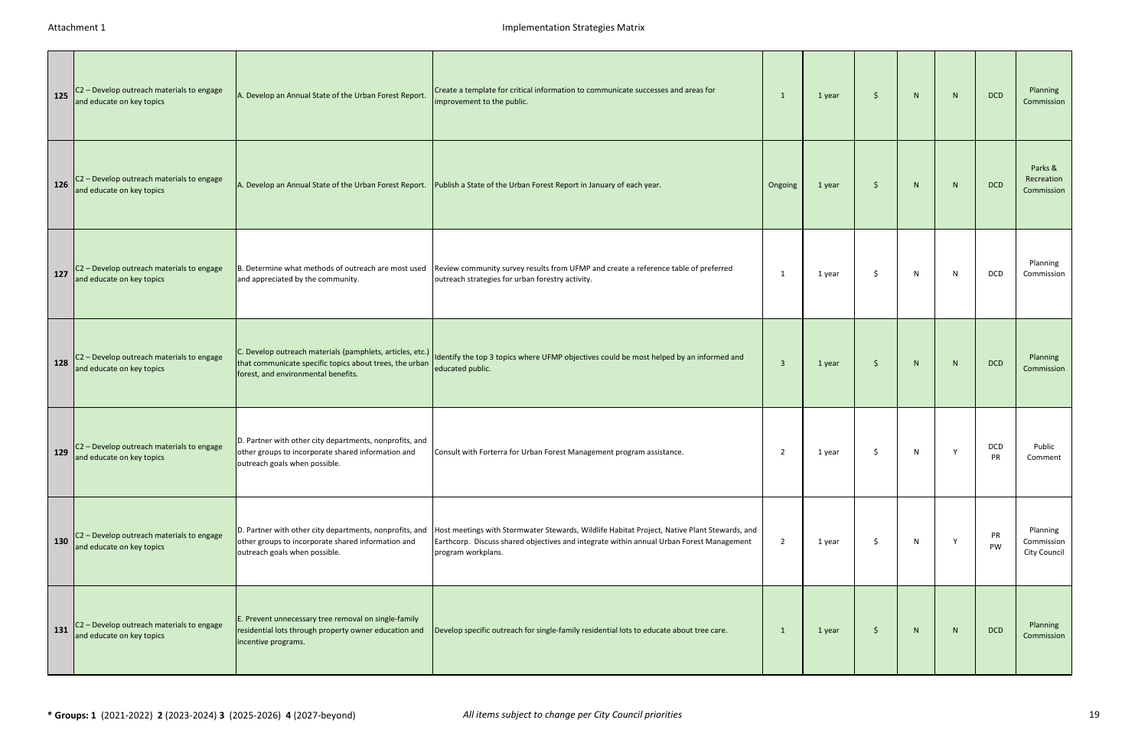| 125 | C2 - Develop outreach materials to engage<br>and educate on key topics | A. Develop an Annual State of the Urban Forest Report.                                                                                                      | Create a template for critical information to communicate successes and areas for<br>improvement to the public.                                                                                                | -1                      | 1 year | \$  | N | N | <b>DCD</b>       | Planning<br>Commission                 |
|-----|------------------------------------------------------------------------|-------------------------------------------------------------------------------------------------------------------------------------------------------------|----------------------------------------------------------------------------------------------------------------------------------------------------------------------------------------------------------------|-------------------------|--------|-----|---|---|------------------|----------------------------------------|
| 126 | C2 - Develop outreach materials to engage<br>and educate on key topics | A. Develop an Annual State of the Urban Forest Report.                                                                                                      | Publish a State of the Urban Forest Report in January of each year.                                                                                                                                            | Ongoing                 | 1 year | \$  | N | N | <b>DCD</b>       | Parks &<br>Recreation<br>Commission    |
| 127 | C2 - Develop outreach materials to engage<br>and educate on key topics | B. Determine what methods of outreach are most used<br>and appreciated by the community.                                                                    | Review community survey results from UFMP and create a reference table of preferred<br>outreach strategies for urban forestry activity.                                                                        | -1                      | 1 year | Ś   | N | N | <b>DCD</b>       | Planning<br>Commission                 |
| 128 | C2 - Develop outreach materials to engage<br>and educate on key topics | C. Develop outreach materials (pamphlets, articles, etc.)<br>that communicate specific topics about trees, the urban<br>forest, and environmental benefits. | Identify the top 3 topics where UFMP objectives could be most helped by an informed and<br>educated public.                                                                                                    | $\overline{\mathbf{3}}$ | 1 year | \$  | N | N | <b>DCD</b>       | Planning<br>Commission                 |
| 129 | C2 - Develop outreach materials to engage<br>and educate on key topics | D. Partner with other city departments, nonprofits, and<br>other groups to incorporate shared information and<br>outreach goals when possible.              | Consult with Forterra for Urban Forest Management program assistance.                                                                                                                                          | $\overline{2}$          | 1 year | S   | N | Y | DCD<br><b>PR</b> | Public<br>Comment                      |
| 130 | C2 - Develop outreach materials to engage<br>and educate on key topics | D. Partner with other city departments, nonprofits, and<br>other groups to incorporate shared information and<br>outreach goals when possible.              | Host meetings with Stormwater Stewards, Wildlife Habitat Project, Native Plant Stewards, and<br>Earthcorp. Discuss shared objectives and integrate within annual Urban Forest Management<br>program workplans. | 2                       | 1 year | \$. | N | Y | PR<br>PW         | Planning<br>Commission<br>City Council |
| 131 | C2 - Develop outreach materials to engage<br>and educate on key topics | E. Prevent unnecessary tree removal on single-family<br>residential lots through property owner education and<br>incentive programs.                        | Develop specific outreach for single-family residential lots to educate about tree care.                                                                                                                       | <sup>1</sup>            | 1 year | \$  | N | N | <b>DCD</b>       | Planning<br>Commission                 |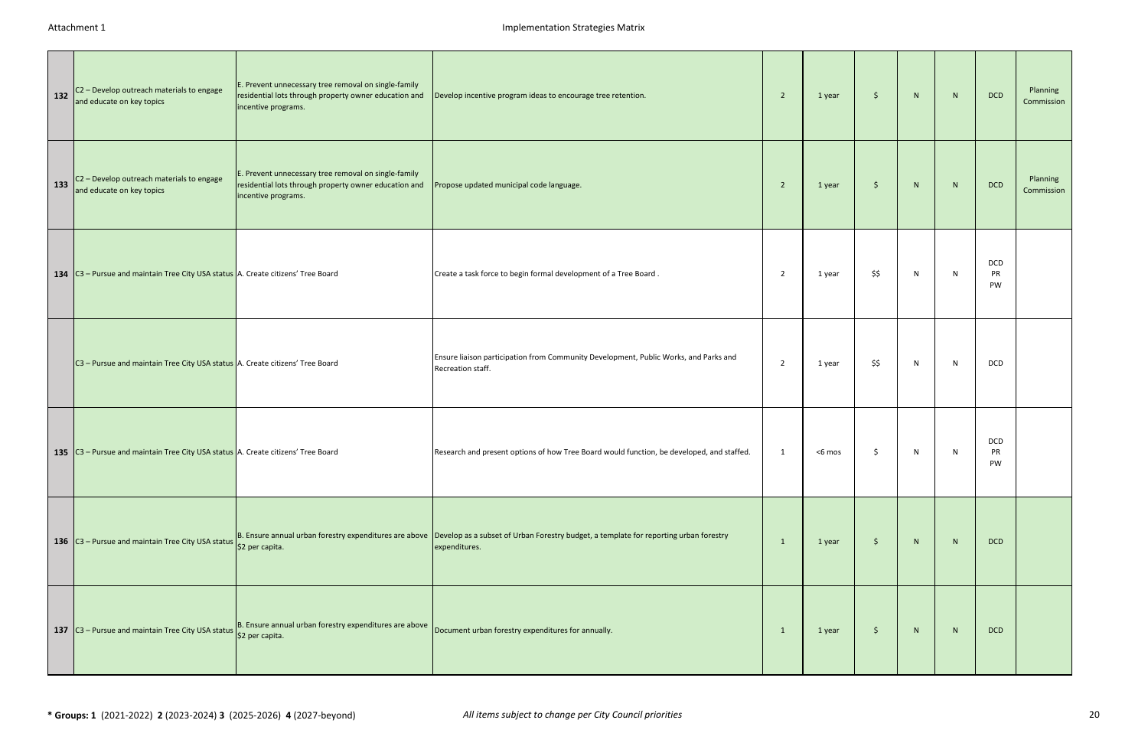| 132 | C2 - Develop outreach materials to engage<br>and educate on key topics              | E. Prevent unnecessary tree removal on single-family<br>residential lots through property owner education and<br>incentive programs. | Develop incentive program ideas to encourage tree retention.                                                                                                  | $\overline{2}$ | 1 year | $\frac{1}{2}$ | N            | N | <b>DCD</b>      | Planning<br>Commission |
|-----|-------------------------------------------------------------------------------------|--------------------------------------------------------------------------------------------------------------------------------------|---------------------------------------------------------------------------------------------------------------------------------------------------------------|----------------|--------|---------------|--------------|---|-----------------|------------------------|
| 133 | C2 - Develop outreach materials to engage<br>and educate on key topics              | E. Prevent unnecessary tree removal on single-family<br>residential lots through property owner education and<br>incentive programs. | Propose updated municipal code language.                                                                                                                      | $\overline{2}$ | 1 year | $\frac{1}{2}$ | N            | N | <b>DCD</b>      | Planning<br>Commission |
|     | 134 $ C3 -$ Pursue and maintain Tree City USA status A. Create citizens' Tree Board |                                                                                                                                      | Create a task force to begin formal development of a Tree Board.                                                                                              | 2              | 1 year | \$\$          | $\mathsf{N}$ | N | DCD<br>PR<br>PW |                        |
|     | C3 - Pursue and maintain Tree City USA status A. Create citizens' Tree Board        |                                                                                                                                      | Ensure liaison participation from Community Development, Public Works, and Parks and<br>Recreation staff.                                                     | $\overline{2}$ | 1 year | \$\$          | ${\sf N}$    | N | DCD             |                        |
|     | 135 $ C3 -$ Pursue and maintain Tree City USA status A. Create citizens' Tree Board |                                                                                                                                      | Research and present options of how Tree Board would function, be developed, and staffed.                                                                     | 1              | <6 mos | \$            | N            | N | DCD<br>PR<br>PW |                        |
|     | 136 $ C3 -$ Pursue and maintain Tree City USA status                                | \$2 per capita.                                                                                                                      | B. Ensure annual urban forestry expenditures are above Develop as a subset of Urban Forestry budget, a template for reporting urban forestry<br>expenditures. | 1              | 1 year | $\ddot{\phi}$ | N            | N | <b>DCD</b>      |                        |
|     | 137 C3 - Pursue and maintain Tree City USA status S2 per capita.                    | B. Ensure annual urban forestry expenditures are above                                                                               | Document urban forestry expenditures for annually.                                                                                                            | $\mathbf{1}$   | 1 year | \$            | N            | N | <b>DCD</b>      |                        |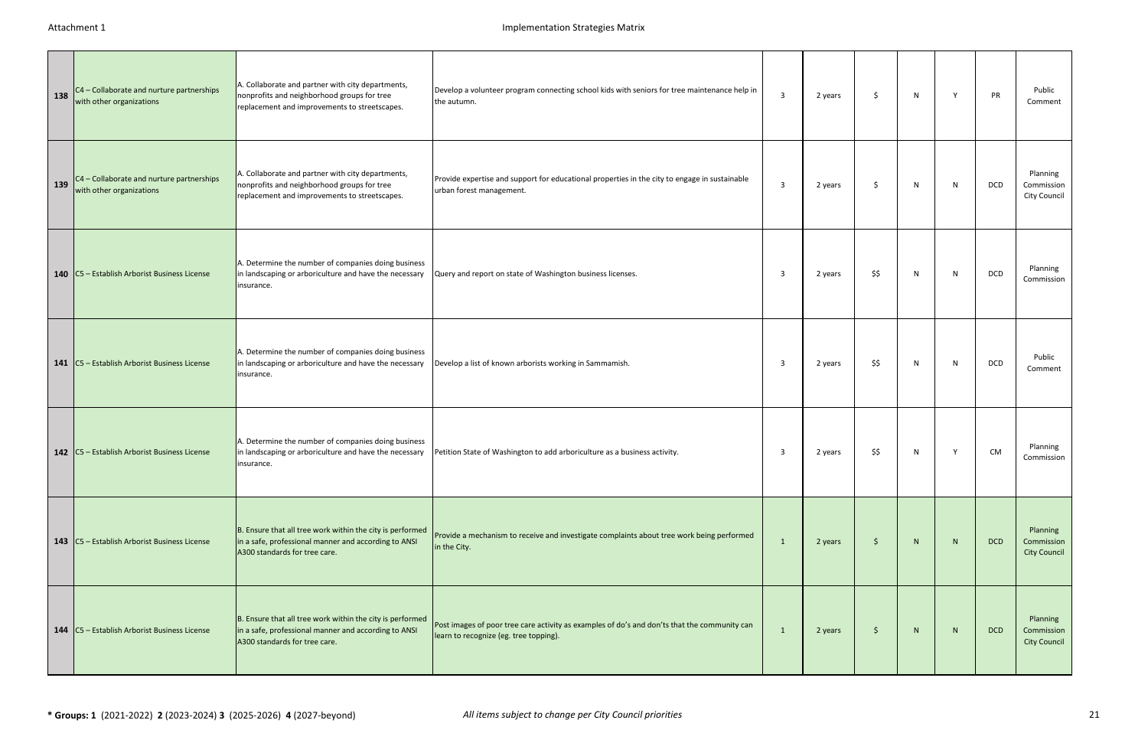| 138 | C4 - Collaborate and nurture partnerships<br>with other organizations | A. Collaborate and partner with city departments,<br>nonprofits and neighborhood groups for tree<br>replacement and improvements to streetscapes.  | Develop a volunteer program connecting school kids with seniors for tree maintenance help in<br>the autumn.                            | $\overline{3}$          | 2 years | \$.  | N | Y  | PR         | Public<br>Comment                             |
|-----|-----------------------------------------------------------------------|----------------------------------------------------------------------------------------------------------------------------------------------------|----------------------------------------------------------------------------------------------------------------------------------------|-------------------------|---------|------|---|----|------------|-----------------------------------------------|
| 139 | C4 - Collaborate and nurture partnerships<br>with other organizations | A. Collaborate and partner with city departments,<br>nonprofits and neighborhood groups for tree<br>replacement and improvements to streetscapes.  | Provide expertise and support for educational properties in the city to engage in sustainable<br>urban forest management.              | $\overline{3}$          | 2 years | \$   | N | N  | <b>DCD</b> | Planning<br>Commission<br>City Council        |
|     | 140   C5 - Establish Arborist Business License                        | A. Determine the number of companies doing business<br>in landscaping or arboriculture and have the necessary<br>insurance.                        | Query and report on state of Washington business licenses.                                                                             | -3                      | 2 years | \$\$ | N | N  | <b>DCD</b> | Planning<br>Commission                        |
|     | 141   C5 - Establish Arborist Business License                        | A. Determine the number of companies doing business<br>in landscaping or arboriculture and have the necessary<br>insurance.                        | Develop a list of known arborists working in Sammamish.                                                                                | $\overline{\mathbf{3}}$ | 2 years | \$\$ | N | N. | <b>DCD</b> | Public<br>Comment                             |
|     | 142   C5 - Establish Arborist Business License                        | A. Determine the number of companies doing business<br>in landscaping or arboriculture and have the necessary<br>insurance.                        | Petition State of Washington to add arboriculture as a business activity.                                                              | $\overline{\mathbf{3}}$ | 2 years | \$\$ | N | Y  | <b>CM</b>  | Planning<br>Commission                        |
|     | 143   C5 - Establish Arborist Business License                        | B. Ensure that all tree work within the city is performed<br>in a safe, professional manner and according to ANSI<br>A300 standards for tree care. | Provide a mechanism to receive and investigate complaints about tree work being performed<br>in the City.                              | 1                       | 2 years | \$   | N | N  | <b>DCD</b> | Planning<br>Commission<br><b>City Council</b> |
|     | 144   C5 - Establish Arborist Business License                        | B. Ensure that all tree work within the city is performed<br>in a safe, professional manner and according to ANSI<br>A300 standards for tree care. | Post images of poor tree care activity as examples of do's and don'ts that the community can<br>learn to recognize (eg. tree topping). | 1                       | 2 years | \$   | N | N  | <b>DCD</b> | Planning<br>Commission<br><b>City Council</b> |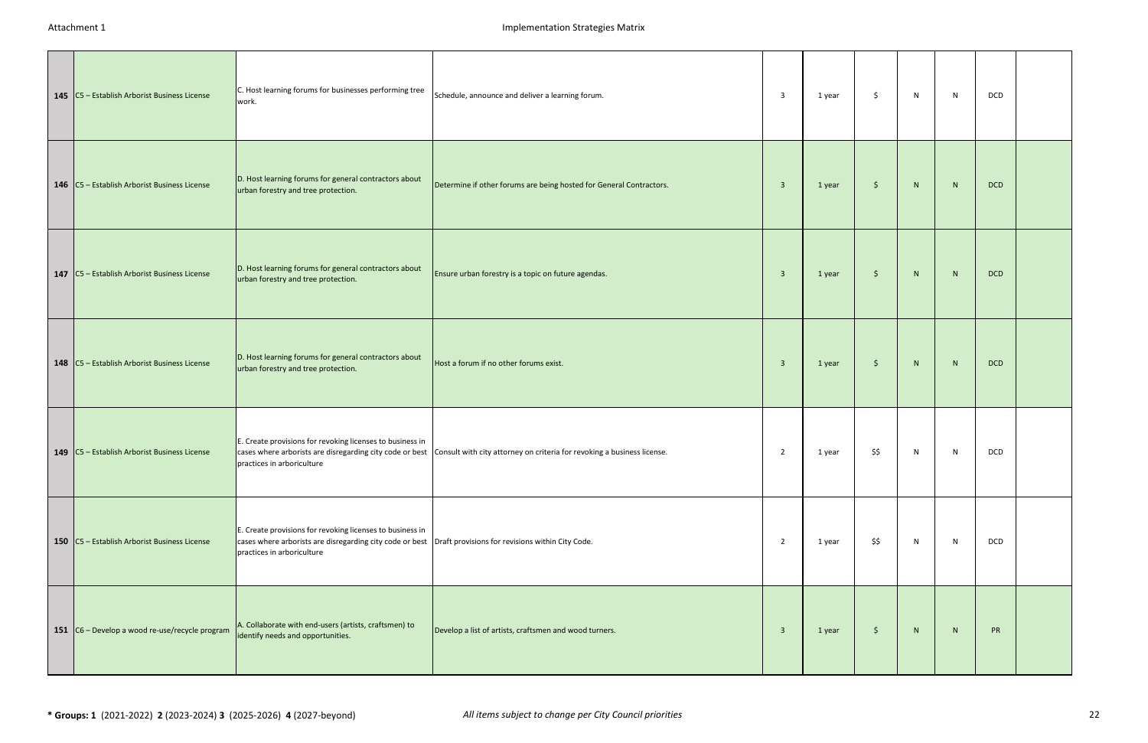| 145   C5 - Establish Arborist Business License    | C. Host learning forums for businesses performing tree<br>work.                                                                                                                                       | Schedule, announce and deliver a learning forum.                                                                                 | 3                       | 1 year | \$                  | N | N            | DCD        |  |
|---------------------------------------------------|-------------------------------------------------------------------------------------------------------------------------------------------------------------------------------------------------------|----------------------------------------------------------------------------------------------------------------------------------|-------------------------|--------|---------------------|---|--------------|------------|--|
| 146 C5 - Establish Arborist Business License      | D. Host learning forums for general contractors about<br>urban forestry and tree protection.                                                                                                          | Determine if other forums are being hosted for General Contractors.                                                              | $\overline{\mathbf{3}}$ | 1 year | $\frac{1}{2}$       | N | N            | <b>DCD</b> |  |
| 147   C5 - Establish Arborist Business License    | D. Host learning forums for general contractors about<br>urban forestry and tree protection.                                                                                                          | Ensure urban forestry is a topic on future agendas.                                                                              | $\overline{3}$          | 1 year | $\frac{1}{2}$       | N | ${\sf N}$    | <b>DCD</b> |  |
| 148   C5 - Establish Arborist Business License    | D. Host learning forums for general contractors about<br>urban forestry and tree protection.                                                                                                          | Host a forum if no other forums exist.                                                                                           | $\overline{3}$          | 1 year | $\ddot{\mathsf{S}}$ | N | N            | <b>DCD</b> |  |
| 149   C5 - Establish Arborist Business License    | E. Create provisions for revoking licenses to business in<br>practices in arboriculture                                                                                                               | cases where arborists are disregarding city code or best Consult with city attorney on criteria for revoking a business license. | $\overline{2}$          | 1 year | \$\$                | N | N            | DCD        |  |
| 150   C5 - Establish Arborist Business License    | E. Create provisions for revoking licenses to business in<br>cases where arborists are disregarding city code or best  Draft provisions for revisions within City Code.<br>practices in arboriculture |                                                                                                                                  | $\overline{2}$          | 1 year | \$\$                | N | $\mathsf{N}$ | DCD        |  |
| 151 $ C6 -$ Develop a wood re-use/recycle program | A. Collaborate with end-users (artists, craftsmen) to<br>identify needs and opportunities.                                                                                                            | Develop a list of artists, craftsmen and wood turners.                                                                           | $\overline{\mathbf{3}}$ | 1 year | $\frac{1}{2}$       | N | N            | PR         |  |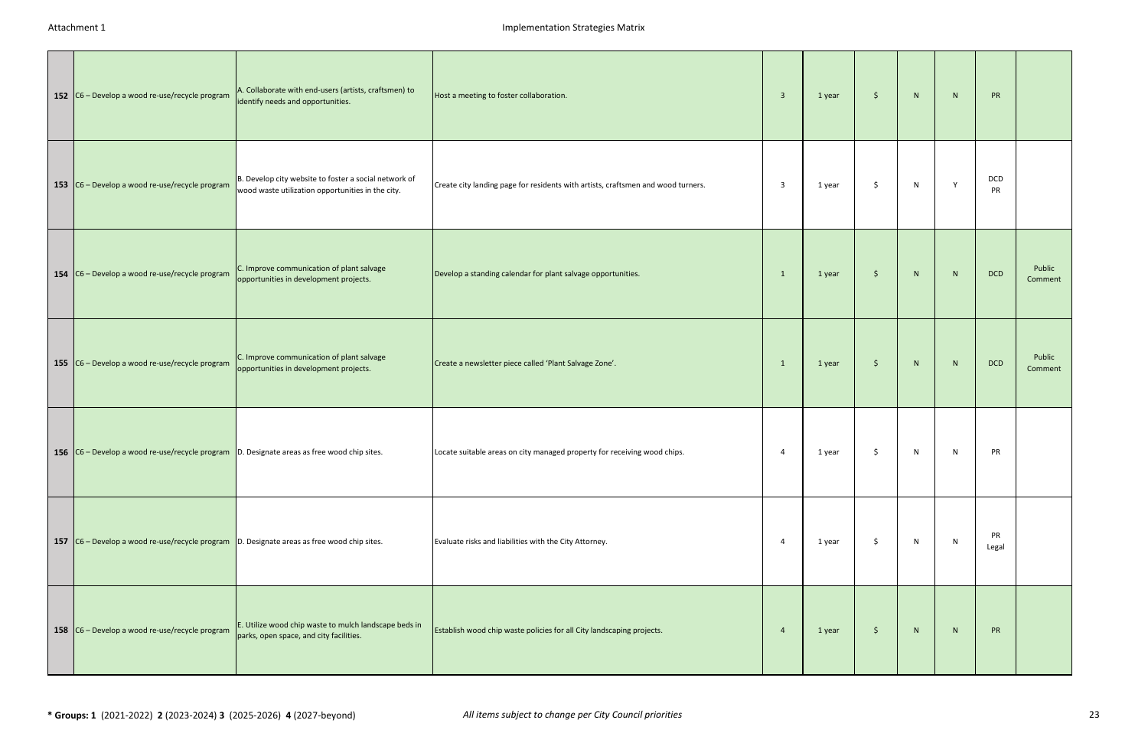| 152 $ C6 -$ Develop a wood re-use/recycle program                                                                     | A. Collaborate with end-users (artists, craftsmen) to<br>identify needs and opportunities.                 | Host a meeting to foster collaboration.                                          | 3            | 1 year | \$ | N | N | <b>PR</b>   |                   |
|-----------------------------------------------------------------------------------------------------------------------|------------------------------------------------------------------------------------------------------------|----------------------------------------------------------------------------------|--------------|--------|----|---|---|-------------|-------------------|
| 153 $\left  \frac{\text{C6}}{\text{O}} - \text{Develop a wood re-use/recycle program} \right $                        | B. Develop city website to foster a social network of<br>wood waste utilization opportunities in the city. | Create city landing page for residents with artists, craftsmen and wood turners. | 3            | 1 year | \$ | N | Y | DCD<br>PR   |                   |
| 154 $\left  \frac{\text{C6}}{\text{C6}} - \text{Develop a wood re-use/recycle program} \right $                       | C. Improve communication of plant salvage<br>opportunities in development projects.                        | Develop a standing calendar for plant salvage opportunities.                     | $\mathbf{1}$ | 1 year | \$ | N | N | <b>DCD</b>  | Public<br>Comment |
| 155 $\Big $ C6 – Develop a wood re-use/recycle program                                                                | C. Improve communication of plant salvage<br>opportunities in development projects.                        | Create a newsletter piece called 'Plant Salvage Zone'.                           | $\mathbf{1}$ | 1 year | \$ | N | N | <b>DCD</b>  | Public<br>Comment |
| 156 $ C6 -$ Develop a wood re-use/recycle program $ D$ . Designate areas as free wood chip sites.                     |                                                                                                            | Locate suitable areas on city managed property for receiving wood chips.         | 4            | 1 year | -S | N | N | PR          |                   |
| <b>157</b> $\boxed{C6$ – Develop a wood re-use/recycle program $\boxed{D}$ . Designate areas as free wood chip sites. |                                                                                                            | Evaluate risks and liabilities with the City Attorney.                           | -4           | 1 year | Ŝ. | N | N | PR<br>Legal |                   |
| 158 $ C6 -$ Develop a wood re-use/recycle program                                                                     | E. Utilize wood chip waste to mulch landscape beds in<br>parks, open space, and city facilities.           | Establish wood chip waste policies for all City landscaping projects.            | 4            | 1 year | \$ | N | N | <b>PR</b>   |                   |